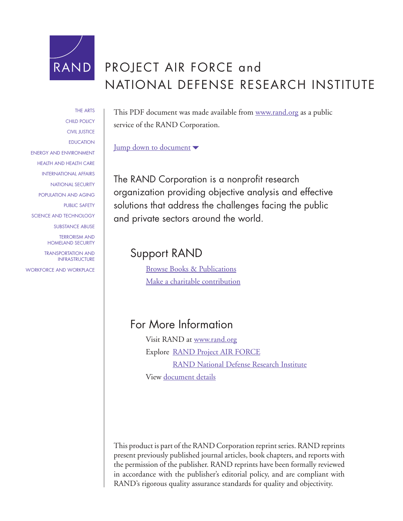# [PROJECT AIR FORCE](http://www.rand.org/pdfrd/paf/) and [NATIONAL DEFENSE RESEARCH INSTITUTE](http://www.rand.org/pdfrd/nsrd/ndri.html)

This PDF document was made available from [www.rand.org](http://www.rand.org/pdfrd/) as a public service of the RAND Corporation.

[Jump down to document](#page-1-0)  $\blacktriangledown$ 

The RAND Corporation is a nonprofit research organization providing objective analysis and effective solutions that address the challenges facing the public and private sectors around the world.

## Support RAND

[Browse Books & Publications](http://www.rand.org/pdfrd/pubs/online/) [Make a charitable contribution](http://www.rand.org/pdfrd/giving/contribute.html)

# For More Information

Visit RAND at [www.rand.org](http://www.rand.org/pdfrd/) Explore [RAND Project AIR FORCE](http://www.rand.org/pdfrd/paf/) [RAND National Defense Research Institute](http://www.rand.org/pdfrd/nsrd/ndri.html) View [document details](http://www.rand.org/pdfrd/pubs/reprints/RP1084/)

This product is part of the RAND Corporation reprint series. RAND reprints present previously published journal articles, book chapters, and reports with the permission of the publisher. RAND reprints have been formally reviewed in accordance with the publisher's editorial policy, and are compliant with RAND's rigorous quality assurance standards for quality and objectivity.

[THE ARTS](http://www.rand.org/pdfrd/research_areas/arts/) [CHILD POLICY](http://www.rand.org/pdfrd/research_areas/children/) [CIVIL JUSTICE](http://www.rand.org/pdfrd/research_areas/civil_justice/) [EDUCATION](http://www.rand.org/pdfrd/research_areas/education/) [ENERGY AND ENVIRONMENT](http://www.rand.org/pdfrd/research_areas/energy_environment/) [HEALTH AND HEALTH CARE](http://www.rand.org/pdfrd/research_areas/health/) [INTERNATIONAL AFFAIRS](http://www.rand.org/pdfrd/research_areas/international_affairs/) [NATIONAL SECURITY](http://www.rand.org/pdfrd/research_areas/national_security/) [POPULATION AND AGING](http://www.rand.org/pdfrd/research_areas/population/) [PUBLIC SAFETY](http://www.rand.org/pdfrd/research_areas/public_safety/) [SCIENCE AND TECHNOLOGY](http://www.rand.org/pdfrd/research_areas/science_technology/) [SUBSTANCE ABUSE](http://www.rand.org/pdfrd/research_areas/substance_abuse/) TERRORISM AND [HOMELAND SECURITY](http://www.rand.org/pdfrd/research_areas/terrorism/) [TRANSPORTATION AND](http://www.rand.org/pdfrd/research_areas/infrastructure/) INFRASTRUCTURE [WORKFORCE AND WORKPLACE](http://www.rand.org/pdfrd/research_areas/workforce/)

RAND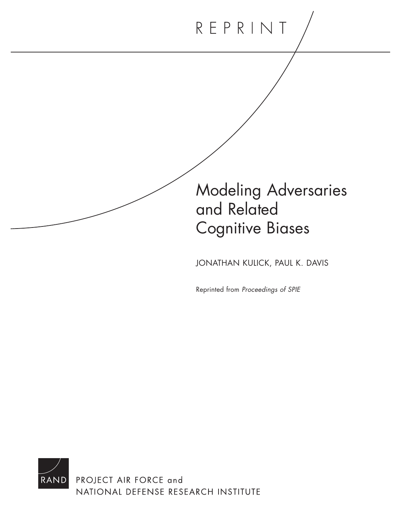# <span id="page-1-0"></span>REPRINT Modeling Adversaries and Related Cognitive Biases

JONATHAN KULICK, PAUL K. DAVIS

Reprinted from Proceedings of SPIE

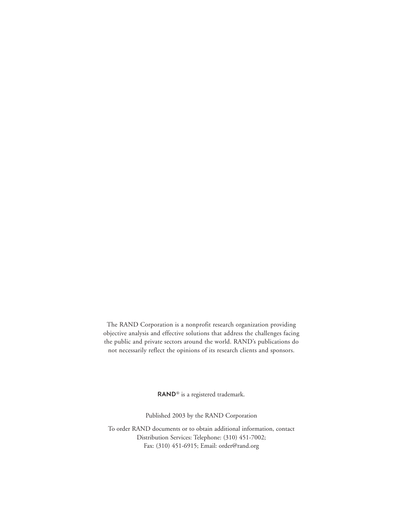The RAND Corporation is a nonprofit research organization providing objective analysis and effective solutions that address the challenges facing the public and private sectors around the world. RAND's publications do not necessarily reflect the opinions of its research clients and sponsors.

RAND<sup>®</sup> is a registered trademark.

Published 2003 by the RAND Corporation

To order RAND documents or to obtain additional information, contact Distribution Services: Telephone: (310) 451-7002; Fax: (310) 451-6915; Email: [order@rand.org](mailto:order@rand.org)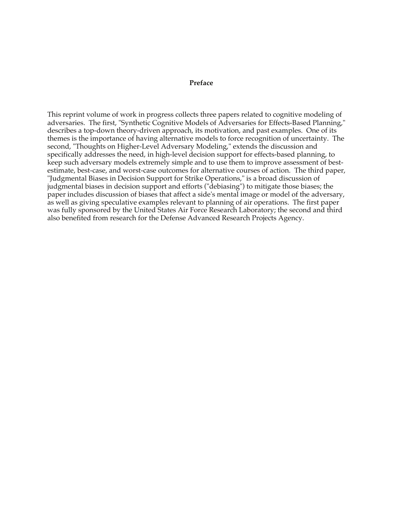#### **Preface**

This reprint volume of work in progress collects three papers related to cognitive modeling of adversaries. The first, "Synthetic Cognitive Models of Adversaries for Effects-Based Planning," describes a top-down theory-driven approach, its motivation, and past examples. One of its themes is the importance of having alternative models to force recognition of uncertainty. The second, "Thoughts on Higher-Level Adversary Modeling," extends the discussion and specifically addresses the need, in high-level decision support for effects-based planning, to keep such adversary models extremely simple and to use them to improve assessment of bestestimate, best-case, and worst-case outcomes for alternative courses of action. The third paper, "Judgmental Biases in Decision Support for Strike Operations," is a broad discussion of judgmental biases in decision support and efforts ("debiasing") to mitigate those biases; the paper includes discussion of biases that affect a side's mental image or model of the adversary, as well as giving speculative examples relevant to planning of air operations. The first paper was fully sponsored by the United States Air Force Research Laboratory; the second and third also benefited from research for the Defense Advanced Research Projects Agency.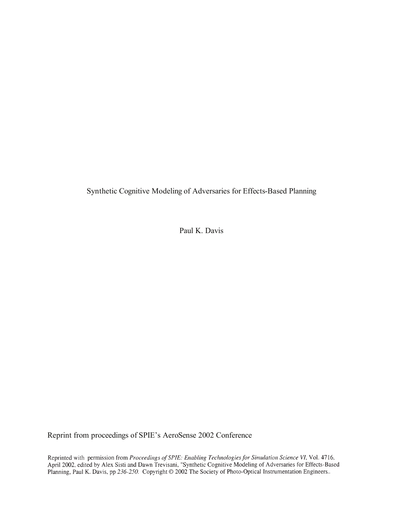Synthetic Cognitive Modeling of Adversaries for Effects-Based Planning

Paul K. Davis

Reprint from proceedings of SPIE's AeroSense 2002 Conference

Reprinted with permission from Proceedings of SPIE: Enabling Technologies for Simulation Science VI, Vol. 4716, April 2002, edited by Alex Sisti and Dawn Trevisani, "Synthetic Cognitive Modeling of Adversaries for Effects-Based Planning, Paul K. Davis, pp 236-250. Copyright © 2002 The Society of Photo-Optical Instrumentation Engineers..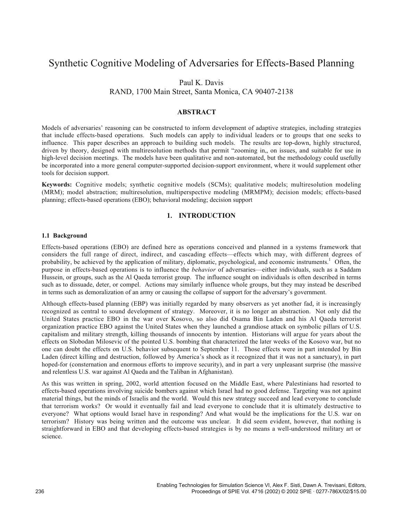## Synthetic Cognitive Modeling of Adversaries for Effects-Based Planning

Paul K. Davis RAND, 1700 Main Street, Santa Monica, CA 90407-2138

#### ABSTRACT

Models of adversaries' reasoning can be constructed to inform development of adaptive strategies, including strategies that include effects-based operations. Such models can apply to individual leaders or to groups that one seeks to influence. This paper describes an approach to building such models. The results are top-down, highly structured, driven by theory, designed with multiresolution methods that permit "zooming in,, on issues, and suitable for use in high-level decision meetings. The models have been qualitative and non-automated, but the methodology could usefully be incorporated into a more general computer-supported decision-support environment, where it would supplement other tools for decision support.

Keywords: Cognitive models; synthetic cognitive models (SCMs); qualitative models; multiresolution modeling (MRM); model abstraction; multiresolution, multiperspective modeling (MRMPM); decision models; effects-based planning; effects-based operations (EBO); behavioral modeling; decision support

#### 1. INTRODUCTION

#### 1.1 Background

Effects-based operations (EBO) are defined here as operations conceived and planned in a systems framework that considers the full range of direct, indirect, and cascading effects—effects which may, with different degrees of probability, be achieved by the application of military, diplomatic, psychological, and economic instruments.<sup>1</sup> Often, the purpose in effects-based operations is to influence the behavior of adversaries—either individuals, such as a Saddam Hussein, or groups, such as the Al Qaeda terrorist group. The influence sought on individuals is often described in terms such as to dissuade, deter, or compel. Actions may similarly influence whole groups, but they may instead be described in terms such as demoralization of an army or causing the collapse of support for the adversary's government.

Although effects-based planning (EBP) was initially regarded by many observers as yet another fad, it is increasingly recognized as central to sound development of strategy. Moreover, it is no longer an abstraction. Not only did the United States practice EBO in the war over Kosovo, so also did Osama Bin Laden and his Al Qaeda terrorist organization practice EBO against the United States when they launched a grandiose attack on symbolic pillars of U.S. capitalism and military strength, killing thousands of innocents by intention. Historians will argue for years about the effects on Slobodan Milosevic of the pointed U.S. bombing that characterized the later weeks of the Kosovo war, but no one can doubt the effects on U.S. behavior subsequent to September 11. Those effects were in part intended by Bin Laden (direct killing and destruction, followed by America's shock as it recognized that it was not a sanctuary), in part hoped-for (consternation and enormous efforts to improve security), and in part a very unpleasant surprise (the massive and relentless U.S. war against Al Qaeda and the Taliban in Afghanistan).

As this was written in spring, 2002, world attention focused on the Middle East, where Palestinians had resorted to effects-based operations involving suicide bombers against which Israel had no good defense. Targeting was not against material things, but the minds of Israelis and the world. Would this new strategy succeed and lead everyone to conclude that terrorism works? Or would it eventually fail and lead everyone to conclude that it is ultimately destructive to everyone? What options would Israel have in responding? And what would be the implications for the U.S. war on terrorism? History was being written and the outcome was unclear. It did seem evident, however, that nothing is straightforward in EBO and that developing effects-based strategies is by no means a well-understood military art or science.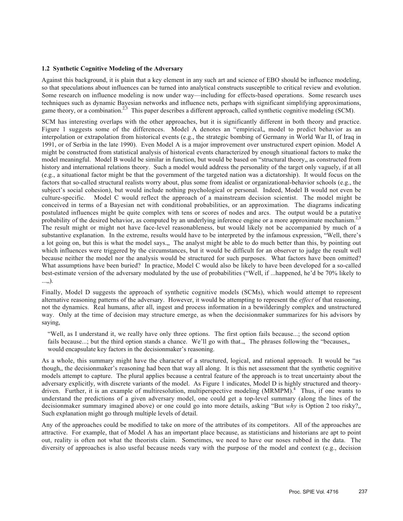#### 1.2 Synthetic Cognitive Modeling of the Adversary

Against this background, it is plain that a key element in any such art and science of EBO should be influence modeling, so that speculations about influences can be turned into analytical constructs susceptible to critical review and evolution. Some research on influence modeling is now under way—including for effects-based operations. Some research uses techniques such as dynamic Bayesian networks and influence nets, perhaps with significant simplifying approximations, game theory, or a combination.<sup>2,3</sup> This paper describes a different approach, called synthetic cognitive modeling (SCM).

SCM has interesting overlaps with the other approaches, but it is significantly different in both theory and practice. Figure 1 suggests some of the differences. Model A denotes an "empirical,, model to predict behavior as an interpolation or extrapolation from historical events (e.g., the strategic bombing of Germany in World War II, of Iraq in 1991, or of Serbia in the late 1990). Even Model A is a major improvement over unstructured expert opinion. Model A might be constructed from statistical analysis of historical events characterized by enough situational factors to make the model meaningful. Model B would be similar in function, but would be based on "structural theory, as constructed from history and international relations theory. Such a model would address the personality of the target only vaguely, if at all (e.g., a situational factor might be that the government of the targeted nation was a dictatorship). It would focus on the factors that so-called structural realists worry about, plus some from idealist or organizational-behavior schools (e.g., the subject's social cohesion), but would include nothing psychological or personal. Indeed, Model B would not even be culture-specific. Model C would reflect the approach of a mainstream decision scientist. The model might be conceived in terms of a Bayesian net with conditional probabilities, or an approximation. The diagrams indicating postulated influences might be quite complex with tens or scores of nodes and arcs. The output would be a putative probability of the desired behavior, as computed by an underlying inference engine or a more approximate mechanism.<sup>2,3</sup> The result might or might not have face-level reasonableness, but would likely not be accompanied by much of a substantive explanation. In the extreme, results would have to be interpreted by the infamous expression, "Well, there's a lot going on, but this is what the model says... The analyst might be able to do much better than this, by pointing out which influences were triggered by the circumstances, but it would be difficult for an observer to judge the result well because neither the model nor the analysis would be structured for such purposes. What factors have been omitted? What assumptions have been buried? In practice, Model C would also be likely to have been developed for a so-called best-estimate version of the adversary modulated by the use of probabilities ("Well, if ...happened, he'd be 70% likely to ...,.).

Finally, Model D suggests the approach of synthetic cognitive models (SCMs), which would attempt to represent alternative reasoning patterns of the adversary. However, it would be attempting to represent the *effect* of that reasoning, not the dynamics. Real humans, after all, ingest and process information in a bewilderingly complex and unstructured way. Only at the time of decision may structure emerge, as when the decisionmaker summarizes for his advisors by saying,

"Well, as I understand it, we really have only three options. The first option fails because...; the second option fails because...; but the third option stands a chance. We'll go with that... The phrases following the "becauses, would encapsulate key factors in the decisionmaker's reasoning.

As a whole, this summary might have the character of a structured, logical, and rational approach. It would be "as though, the decisionmaker's reasoning had been that way all along. It is this net assessment that the synthetic cognitive models attempt to capture. The plural applies because a central feature of the approach is to treat uncertainty about the adversary explicitly, with discrete variants of the model. As Figure 1 indicates, Model D is highly structured and theorydriven. Further, it is an example of multiresolution, multiperspective modeling (MRMPM).<sup>4</sup> Thus, if one wants to understand the predictions of a given adversary model, one could get a top-level summary (along the lines of the decisionmaker summary imagined above) or one could go into more details, asking "But why is Option 2 too risky?", Such explanation might go through multiple levels of detail.

Any of the approaches could be modified to take on more of the attributes of its competitors. All of the approaches are attractive. For example, that of Model A has an important place because, as statisticians and historians are apt to point out, reality is often not what the theorists claim. Sometimes, we need to have our noses rubbed in the data. The diversity of approaches is also useful because needs vary with the purpose of the model and context (e.g., decision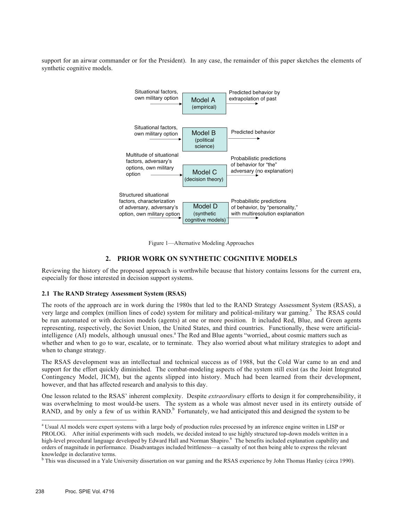support for an airwar commander or for the President). In any case, the remainder of this paper sketches the elements of synthetic cognitive models.



Figure 1—Alternative Modeling Approaches

#### 2. PRIOR WORK ON SYNTHETIC COGNITIVE MODELS

Reviewing the history of the proposed approach is worthwhile because that history contains lessons for the current era, especially for those interested in decision support systems.

#### 2.1 The RAND Strategy Assessment System (RSAS)

The roots of the approach are in work during the 1980s that led to the RAND Strategy Assessment System (RSAS), a very large and complex (million lines of code) system for military and political-military war gaming.<sup>5</sup> The RSAS could be run automated or with decision models (agents) at one or more position. It included Red, Blue, and Green agents representing, respectively, the Soviet Union, the United States, and third countries. Functionally, these were artificialintelligence (AI) models, although unusual ones.<sup>a</sup> The Red and Blue agents "worried,, about cosmic matters such as whether and when to go to war, escalate, or to terminate. They also worried about what military strategies to adopt and when to change strategy.

The RSAS development was an intellectual and technical success as of 1988, but the Cold War came to an end and support for the effort quickly diminished. The combat-modeling aspects of the system still exist (as the Joint Integrated Contingency Model, JICM), but the agents slipped into history. Much had been learned from their development, however, and that has affected research and analysis to this day.

One lesson related to the RSAS' inherent complexity. Despite *extraordinary* efforts to design it for comprehensibility, it was overwhelming to most would-be users. The system as a whole was almost never used in its entirety outside of RAND, and by only a few of us within RAND.<sup>b</sup> Fortunately, we had anticipated this and designed the system to be

-

<sup>&</sup>lt;sup>a</sup> Usual AI models were expert systems with a large body of production rules processed by an inference engine written in LISP or PROLOG. After initial experiments with such models, we decided instead to use highly structured top-down models written in a high-level procedural language developed by Edward Hall and Norman Shapiro.<sup>6</sup> The benefits included explanation capability and orders of magnitude in performance. Disadvantages included brittleness—a casualty of not then being able to express the relevant knowledge in declarative terms.

<sup>&</sup>lt;sup>b</sup> This was discussed in a Yale University dissertation on war gaming and the RSAS experience by John Thomas Hanley (circa 1990).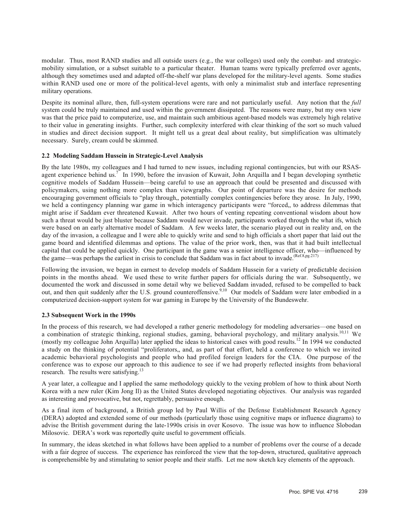modular. Thus, most RAND studies and all outside users (e.g., the war colleges) used only the combat- and strategicmobility simulation, or a subset suitable to a particular theater. Human teams were typically preferred over agents, although they sometimes used and adapted off-the-shelf war plans developed for the military-level agents. Some studies within RAND used one or more of the political-level agents, with only a minimalist stub and interface representing military operations.

Despite its nominal allure, then, full-system operations were rare and not particularly useful. Any notion that the *full* system could be truly maintained and used within the government dissipated. The reasons were many, but my own view was that the price paid to computerize, use, and maintain such ambitious agent-based models was extremely high relative to their value in generating insights. Further, such complexity interfered with clear thinking of the sort so much valued in studies and direct decision support. It might tell us a great deal about reality, but simplification was ultimately necessary. Surely, cream could be skimmed.

#### 2.2 Modeling Saddam Hussein in Strategic-Level Analysis

By the late 1980s, my colleagues and I had turned to new issues, including regional contingencies, but with our RSASagent experience behind us.<sup>7</sup> In 1990, before the invasion of Kuwait, John Arquilla and I began developing synthetic cognitive models of Saddam Hussein—being careful to use an approach that could be presented and discussed with policymakers, using nothing more complex than viewgraphs. Our point of departure was the desire for methods encouraging government officials to "play through, potentially complex contingencies before they arose. In July, 1990, we held a contingency planning war game in which interagency participants were "forced, to address dilemmas that might arise if Saddam ever threatened Kuwait. After two hours of venting repeating conventional wisdom about how such a threat would be just bluster because Saddam would never invade, participants worked through the what ifs, which were based on an early alternative model of Saddam. A few weeks later, the scenario played out in reality and, on the day of the invasion, a colleague and I were able to quickly write and send to high officials a short paper that laid out the game board and identified dilemmas and options. The value of the prior work, then, was that it had built intellectual capital that could be applied quickly. One participant in the game was a senior intelligence officer, who—influenced by the game—was perhaps the earliest in crisis to conclude that Saddam was in fact about to invade.<sup>(Ref.8,pg.217)</sup>

Following the invasion, we began in earnest to develop models of Saddam Hussein for a variety of predictable decision points in the months ahead. We used these to write further papers for officials during the war. Subsequently, we documented the work and discussed in some detail why we believed Saddam invaded, refused to be compelled to back out, and then quit suddenly after the U.S. ground counteroffensive.<sup>9,10</sup> Our models of Saddam were later embodied in a computerized decision-support system for war gaming in Europe by the University of the Bundeswehr.

#### 2.3 Subsequent Work in the 1990s

In the process of this research, we had developed a rather generic methodology for modeling adversaries—one based on a combination of strategic thinking, regional studies, gaming, behavioral psychology, and military analysis.<sup>10,11</sup> We (mostly my colleague John Arquilla) later applied the ideas to historical cases with good results.<sup>12</sup> In 1994 we conducted a study on the thinking of potential "proliferators,, and, as part of that effort, held a conference to which we invited academic behavioral psychologists and people who had profiled foreign leaders for the CIA. One purpose of the conference was to expose our approach to this audience to see if we had properly reflected insights from behavioral research. The results were satisfying.<sup>13</sup>

A year later, a colleague and I applied the same methodology quickly to the vexing problem of how to think about North Korea with a new ruler (Kim Jong Il) as the United States developed negotiating objectives. Our analysis was regarded as interesting and provocative, but not, regrettably, persuasive enough.

As a final item of background, a British group led by Paul Willis of the Defense Establishment Research Agency (DERA) adopted and extended some of our methods (particularly those using cognitive maps or influence diagrams) to advise the British government during the late-1990s crisis in over Kosovo. The issue was how to influence Slobodan Milosovic. DERA's work was reportedly quite useful to government officials.

In summary, the ideas sketched in what follows have been applied to a number of problems over the course of a decade with a fair degree of success. The experience has reinforced the view that the top-down, structured, qualitative approach is comprehensible by and stimulating to senior people and their staffs. Let me now sketch key elements of the approach.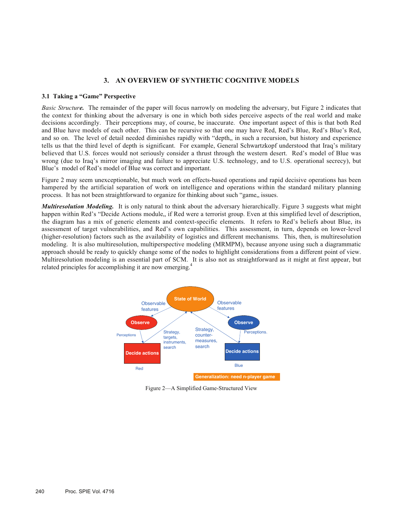#### 3. AN OVERVIEW OF SYNTHETIC COGNITIVE MODELS

#### 3.1 Taking a "Game" Perspective

Basic Structure. The remainder of the paper will focus narrowly on modeling the adversary, but Figure 2 indicates that the context for thinking about the adversary is one in which both sides perceive aspects of the real world and make decisions accordingly. Their perceptions may, of course, be inaccurate. One important aspect of this is that both Red and Blue have models of each other. This can be recursive so that one may have Red, Red's Blue, Red's Blue's Red, and so on. The level of detail needed diminishes rapidly with "depth,, in such a recursion, but history and experience tells us that the third level of depth is significant. For example, General Schwartzkopf understood that Iraq's military believed that U.S. forces would not seriously consider a thrust through the western desert. Red's model of Blue was wrong (due to Iraq's mirror imaging and failure to appreciate U.S. technology, and to U.S. operational secrecy), but Blue's model of Red's model of Blue was correct and important.

Figure 2 may seem unexceptionable, but much work on effects-based operations and rapid decisive operations has been hampered by the artificial separation of work on intelligence and operations within the standard military planning process. It has not been straightforward to organize for thinking about such "game,, issues.

**Multiresolution Modeling.** It is only natural to think about the adversary hierarchically. Figure 3 suggests what might happen within Red's "Decide Actions module,, if Red were a terrorist group. Even at this simplified level of description, the diagram has a mix of generic elements and context-specific elements. It refers to Red's beliefs about Blue, its assessment of target vulnerabilities, and Red's own capabilities. This assessment, in turn, depends on lower-level (higher-resolution) factors such as the availability of logistics and different mechanisms. This, then, is multiresolution modeling. It is also multiresolution, multiperspective modeling (MRMPM), because anyone using such a diagrammatic approach should be ready to quickly change some of the nodes to highlight considerations from a different point of view. Multiresolution modeling is an essential part of SCM. It is also not as straightforward as it might at first appear, but related principles for accomplishing it are now emerging.<sup>4</sup>



Figure 2—A Simplified Game-Structured View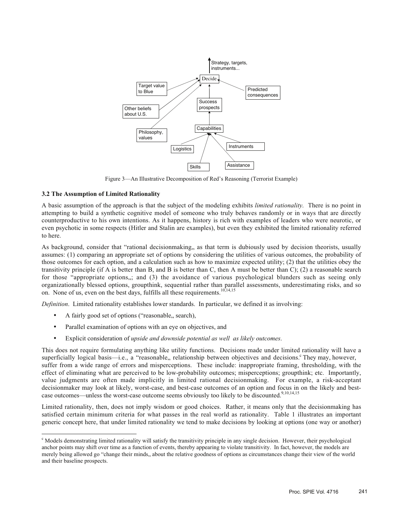

Figure 3—An Illustrative Decomposition of Red's Reasoning (Terrorist Example)

#### 3.2 The Assumption of Limited Rationality

A basic assumption of the approach is that the subject of the modeling exhibits *limited rationality*. There is no point in attempting to build a synthetic cognitive model of someone who truly behaves randomly or in ways that are directly counterproductive to his own intentions. As it happens, history is rich with examples of leaders who were neurotic, or even psychotic in some respects (Hitler and Stalin are examples), but even they exhibited the limited rationality referred to here.

As background, consider that "rational decisionmaking,, as that term is dubiously used by decision theorists, usually assumes: (1) comparing an appropriate set of options by considering the utilities of various outcomes, the probability of those outcomes for each option, and a calculation such as how to maximize expected utility; (2) that the utilities obey the transitivity principle (if A is better than B, and B is better than C, then A must be better than C); (2) a reasonable search for those "appropriate options,,; and (3) the avoidance of various psychological blunders such as seeing only organizationally blessed options, groupthink, sequential rather than parallel assessments, underestimating risks, and so on. None of us, even on the best days, fulfills all these requirements.<sup>10,14,15</sup>

Definition. Limited rationality establishes lower standards. In particular, we defined it as involving:

A fairly good set of options ("reasonable,, search),

-

- Parallel examination of options with an eye on objectives, and
- Explicit consideration of *upside and downside potential as well as likely outcomes*.

This does not require formulating anything like utility functions. Decisions made under limited rationality will have a superficially logical basis—i.e., a "reasonable,, relationship between objectives and decisions. They may, however, suffer from a wide range of errors and misperceptions. These include: inappropriate framing, thresholding, with the effect of eliminating what are perceived to be low-probability outcomes; misperceptions; groupthink; etc. Importantly, value judgments are often made implicitly in limited rational decisionmaking. For example, a risk-acceptant decisionmaker may look at likely, worst-case, and best-case outcomes of an option and focus in on the likely and bestcase outcomes—unless the worst-case outcome seems obviously too likely to be discounted.<sup>9,10,14,15</sup>

Limited rationality, then, does not imply wisdom or good choices. Rather, it means only that the decisionmaking has satisfied certain minimum criteria for what passes in the real world as rationality. Table 1 illustrates an important generic concept here, that under limited rationality we tend to make decisions by looking at options (one way or another)

<sup>&</sup>lt;sup>c</sup> Models demonstrating limited rationality will satisfy the transitivity principle in any single decision. However, their psychological anchor points may shift over time as a function of events, thereby appearing to violate transitivity. In fact, however, the models are merely being allowed go "change their minds,, about the relative goodness of options as circumstances change their view of the world and their baseline prospects.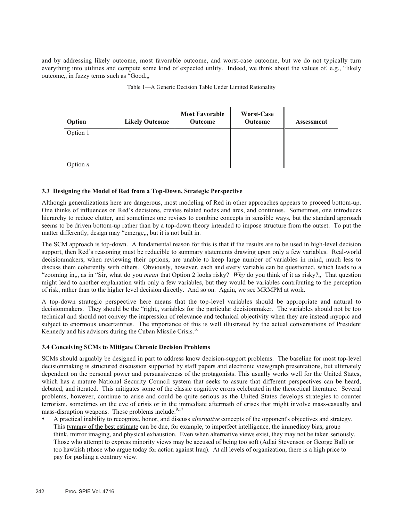and by addressing likely outcome, most favorable outcome, and worst-case outcome, but we do not typically turn everything into utilities and compute some kind of expected utility. Indeed, we think about the values of, e.g., "likely outcome,, in fuzzy terms such as "Good.,,

| Option     | <b>Likely Outcome</b> | <b>Most Favorable</b><br>Outcome | <b>Worst-Case</b><br>Outcome | <b>Assessment</b> |
|------------|-----------------------|----------------------------------|------------------------------|-------------------|
| Option 1   |                       |                                  |                              |                   |
|            |                       |                                  |                              |                   |
|            |                       |                                  |                              |                   |
| Option $n$ |                       |                                  |                              |                   |

Table 1—A Generic Decision Table Under Limited Rationality

#### 3.3 Designing the Model of Red from a Top-Down, Strategic Perspective

Although generalizations here are dangerous, most modeling of Red in other approaches appears to proceed bottom-up. One thinks of influences on Red's decisions, creates related nodes and arcs, and continues. Sometimes, one introduces hierarchy to reduce clutter, and sometimes one revises to combine concepts in sensible ways, but the standard approach seems to be driven bottom-up rather than by a top-down theory intended to impose structure from the outset. To put the matter differently, design may "emerge, but it is not built in.

The SCM approach is top-down. A fundamental reason for this is that if the results are to be used in high-level decision support, then Red's reasoning must be reducible to summary statements drawing upon only a few variables. Real-world decisionmakers, when reviewing their options, are unable to keep large number of variables in mind, much less to discuss them coherently with others. Obviously, however, each and every variable can be questioned, which leads to a "zooming in,,, as in "Sir, what do you mean that Option 2 looks risky? Why do you think of it as risky?,, That question might lead to another explanation with only a few variables, but they would be variables contributing to the perception of risk, rather than to the higher level decision directly. And so on. Again, we see MRMPM at work.

A top-down strategic perspective here means that the top-level variables should be appropriate and natural to decisionmakers. They should be the "right, variables for the particular decisionmaker. The variables should not be too technical and should not convey the impression of relevance and technical objectivity when they are instead myopic and subject to enormous uncertainties. The importance of this is well illustrated by the actual conversations of President Kennedy and his advisors during the Cuban Missile Crisis.<sup>16</sup>

#### 3.4 Conceiving SCMs to Mitigate Chronic Decision Problems

SCMs should arguably be designed in part to address know decision-support problems. The baseline for most top-level decisionmaking is structured discussion supported by staff papers and electronic viewgraph presentations, but ultimately dependent on the personal power and persuasiveness of the protagonists. This usually works well for the United States, which has a mature National Security Council system that seeks to assure that different perspectives can be heard, debated, and iterated. This mitigates some of the classic cognitive errors celebrated in the theoretical literature. Several problems, however, continue to arise and could be quite serious as the United States develops strategies to counter terrorism, sometimes on the eve of crisis or in the immediate aftermath of crises that might involve mass-casualty and mass-disruption weapons. These problems include: $9,17$ 

• A practical inability to recognize, honor, and discuss alternative concepts of the opponent's objectives and strategy. This tyranny of the best estimate can be due, for example, to imperfect intelligence, the immediacy bias, group think, mirror imaging, and physical exhaustion. Even when alternative views exist, they may not be taken seriously. Those who attempt to express minority views may be accused of being too soft (Adlai Stevenson or George Ball) or too hawkish (those who argue today for action against Iraq). At all levels of organization, there is a high price to pay for pushing a contrary view.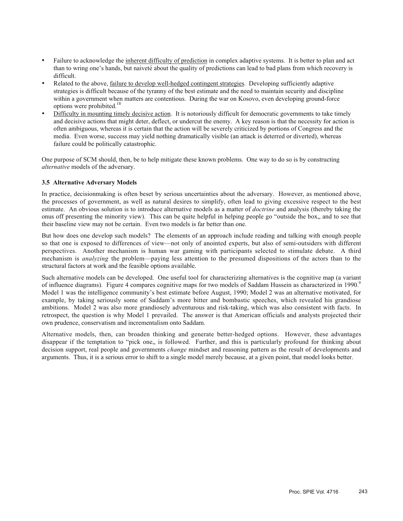- Failure to acknowledge the inherent difficulty of prediction in complex adaptive systems. It is better to plan and act than to wring one's hands, but naiveté about the quality of predictions can lead to bad plans from which recovery is difficult.
- Related to the above, failure to develop well-hedged contingent strategies. Developing sufficiently adaptive strategies is difficult because of the tyranny of the best estimate and the need to maintain security and discipline within a government when matters are contentious. During the war on Kosovo, even developing ground-force options were prohibited.<sup>18</sup>
- Difficulty in mounting timely decisive action. It is notoriously difficult for democratic governments to take timely and decisive actions that might deter, deflect, or undercut the enemy. A key reason is that the necessity for action is often ambiguous, whereas it is certain that the action will be severely criticized by portions of Congress and the media. Even worse, success may yield nothing dramatically visible (an attack is deterred or diverted), whereas failure could be politically catastrophic.

One purpose of SCM should, then, be to help mitigate these known problems. One way to do so is by constructing alternative models of the adversary.

#### 3.5 Alternative Adversary Models

In practice, decisionmaking is often beset by serious uncertainties about the adversary. However, as mentioned above, the processes of government, as well as natural desires to simplify, often lead to giving excessive respect to the best estimate. An obvious solution is to introduce alternative models as a matter of *doctrine* and analysis (thereby taking the onus off presenting the minority view). This can be quite helpful in helping people go "outside the box,, and to see that their baseline view may not be certain. Even two models is far better than one.

But how does one develop such models? The elements of an approach include reading and talking with enough people so that one is exposed to differences of view—not only of anointed experts, but also of semi-outsiders with different perspectives. Another mechanism is human war gaming with participants selected to stimulate debate. A third mechanism is *analyzing* the problem—paying less attention to the presumed dispositions of the actors than to the structural factors at work and the feasible options available.

Such alternative models can be developed. One useful tool for characterizing alternatives is the cognitive map (a variant of influence diagrams). Figure 4 compares cognitive maps for two models of Saddam Hussein as characterized in 1990. Model 1 was the intelligence community's best estimate before August, 1990; Model 2 was an alternative motivated, for example, by taking seriously some of Saddam's more bitter and bombastic speeches, which revealed his grandiose ambitions. Model 2 was also more grandiosely adventurous and risk-taking, which was also consistent with facts. In retrospect, the question is why Model 1 prevailed. The answer is that American officials and analysts projected their own prudence, conservatism and incrementalism onto Saddam.

Alternative models, then, can broaden thinking and generate better-hedged options. However, these advantages disappear if the temptation to "pick one, is followed. Further, and this is particularly profound for thinking about decision support, real people and governments *change* mindset and reasoning pattern as the result of developments and arguments. Thus, it is a serious error to shift to a single model merely because, at a given point, that model looks better.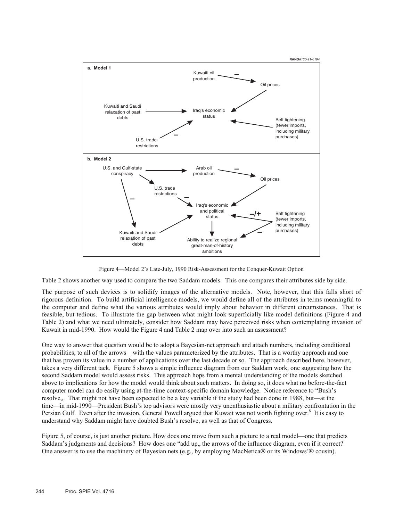

Figure 4—Model 2's Late-July, 1990 Risk-Assessment for the Conquer-Kuwait Option

Table 2 shows another way used to compare the two Saddam models. This one compares their attributes side by side.

The purpose of such devices is to solidify images of the alternative models. Note, however, that this falls short of rigorous definition. To build artificial intelligence models, we would define all of the attributes in terms meaningful to the computer and define what the various attributes would imply about behavior in different circumstances. That is feasible, but tedious. To illustrate the gap between what might look superficially like model definitions (Figure 4 and Table 2) and what we need ultimately, consider how Saddam may have perceived risks when contemplating invasion of Kuwait in mid-1990. How would the Figure 4 and Table 2 map over into such an assessment?

One way to answer that question would be to adopt a Bayesian-net approach and attach numbers, including conditional probabilities, to all of the arrows—with the values parameterized by the attributes. That is a worthy approach and one that has proven its value in a number of applications over the last decade or so. The approach described here, however, takes a very different tack. Figure 5 shows a simple influence diagram from our Saddam work, one suggesting how the second Saddam model would assess risks. This approach hops from a mental understanding of the models sketched above to implications for how the model would think about such matters. In doing so, it does what no before-the-fact computer model can do easily using at-the-time context-specific domain knowledge. Notice reference to "Bush's resolve,. That might not have been expected to be a key variable if the study had been done in 1988, but—at the time—in mid-1990—President Bush's top advisors were mostly very unenthusiastic about a military confrontation in the Persian Gulf. Even after the invasion, General Powell argued that Kuwait was not worth fighting over.<sup>8</sup> It is easy to understand why Saddam might have doubted Bush's resolve, as well as that of Congress.

Figure 5, of course, is just another picture. How does one move from such a picture to a real model—one that predicts Saddam's judgments and decisions? How does one "add up,, the arrows of the influence diagram, even if it correct? One answer is to use the machinery of Bayesian nets (e.g., by employing MacNetica® or its Windows'® cousin).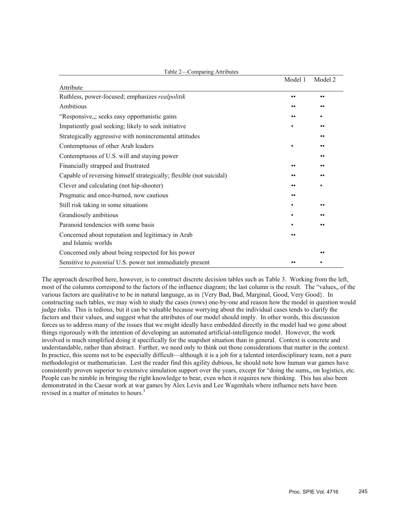|                                                                         | Model 1          | Model 2          |
|-------------------------------------------------------------------------|------------------|------------------|
| Attribute                                                               |                  |                  |
| Ruthless, power-focused; emphasizes realpolitik                         | $\bullet\bullet$ | $\bullet\bullet$ |
| Ambitious                                                               |                  |                  |
| "Responsive,,; seeks easy opportunistic gains                           |                  |                  |
| Impatiently goal seeking; likely to seek initiative                     |                  |                  |
| Strategically aggressive with nonincremental attitudes                  |                  |                  |
| Contemptuous of other Arab leaders                                      |                  |                  |
| Contemptuous of U.S. will and staying power                             |                  |                  |
| Financially strapped and frustrated                                     |                  |                  |
| Capable of reversing himself strategically; flexible (not suicidal)     |                  |                  |
| Clever and calculating (not hip-shooter)                                | $\bullet\bullet$ |                  |
| Pragmatic and once-burned, now cautious                                 |                  |                  |
| Still risk taking in some situations                                    |                  | $\bullet\bullet$ |
| Grandiosely ambitious                                                   |                  |                  |
| Paranoid tendencies with some basis                                     |                  |                  |
| Concerned about reputation and legitimacy in Arab<br>and Islamic worlds |                  |                  |
| Concerned only about being respected for his power                      |                  |                  |
| Sensitive to <i>potential</i> U.S. power not immediately present        |                  |                  |

The approach described here, however, is to construct discrete decision tables such as Table 3. Working from the left, most of the columns correspond to the factors of the influence diagram; the last column is the result. The "values,, of the various factors are qualitative to be in natural language, as in {Very Bad, Bad, Marginal, Good, Very Good}. In constructing such tables, we may wish to study the cases (rows) one-by-one and reason how the model in question would judge risks. This is tedious, but it can be valuable because worrying about the individual cases tends to clarify the factors and their values, and suggest what the attributes of our model should imply. In other words, this discussion forces us to address many of the issues that we might ideally have embedded directly in the model had we gone about things rigorously with the intention of developing an automated artificial-intelligence model. However, the work involved is much simplified doing it specifically for the snapshot situation than in general. Context is concrete and understandable, rather than abstract. Further, we need only to think out those considerations that matter in the context. In practice, this seems not to be especially difficult—although it is a job for a talented interdisciplinary team, not a pure methodologist or mathematician. Lest the reader find this agility dubious, he should note how human war games have consistently proven superior to extensive simulation support over the years, except for "doing the sums, on logistics, etc. People can be nimble in bringing the right knowledge to bear, even when it requires new thinking. This has also been demonstrated in the Caesar work at war games by Alex Levis and Lee Wagenhals where influence nets have been revised in a matter of minutes to hours.<sup>3</sup>

#### Table 2—Comparing Attributes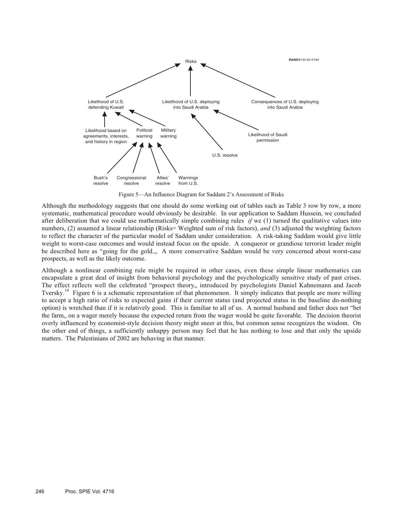

Figure 5—An Influence Diagram for Saddam 2's Assessment of Risks

Although the methodology suggests that one should do some working out of tables such as Table 3 row by row, a more systematic, mathematical procedure would obviously be desirable. In our application to Saddam Hussein, we concluded after deliberation that we could use mathematically simple combining rules  $if$  we  $(1)$  turned the qualitative values into numbers, (2) assumed a linear relationship (Risks= Weighted sum of risk factors), and (3) adjusted the weighting factors to reflect the character of the particular model of Saddam under consideration. A risk-taking Saddam would give little weight to worst-case outcomes and would instead focus on the upside. A conqueror or grandiose terrorist leader might be described here as "going for the gold.,, A more conservative Saddam would be very concerned about worst-case prospects, as well as the likely outcome.

Although a nonlinear combining rule might be required in other cases, even these simple linear mathematics can encapsulate a great deal of insight from behavioral psychology and the psychologically sensitive study of past crises. The effect reflects well the celebrated "prospect theory,, introduced by psychologists Daniel Kahnemann and Jacob Tversky.<sup>19</sup> Figure 6 is a schematic representation of that phenomenon. It simply indicates that people are more willing to accept a high ratio of risks to expected gains if their current status (and projected status in the baseline do-nothing option) is wretched than if it is relatively good. This is familiar to all of us. A normal husband and father does not "bet the farm, on a wager merely because the expected return from the wager would be quite favorable. The decision theorist overly influenced by economist-style decision theory might sneer at this, but common sense recognizes the wisdom. On the other end of things, a sufficiently unhappy person may feel that he has nothing to lose and that only the upside matters. The Palestinians of 2002 are behaving in that manner.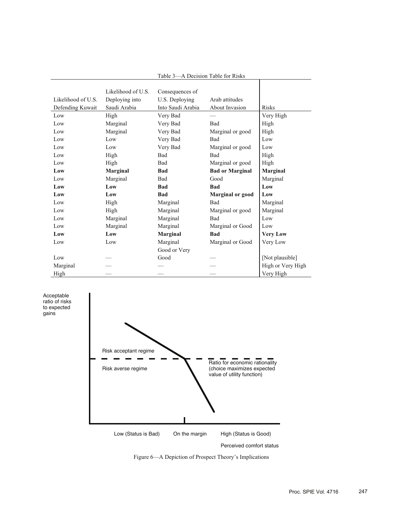|                    |                    | Table 3—A Decision Table for Risks |                         |                   |  |  |
|--------------------|--------------------|------------------------------------|-------------------------|-------------------|--|--|
|                    |                    |                                    |                         |                   |  |  |
|                    | Likelihood of U.S. | Consequences of                    |                         |                   |  |  |
| Likelihood of U.S. | Deploying into     | U.S. Deploying                     | Arab attitudes          |                   |  |  |
| Defending Kuwait   | Saudi Arabia       | Into Saudi Arabia                  | About Invasion          | <b>Risks</b>      |  |  |
| Low                | High               | Very Bad                           |                         | Very High         |  |  |
| Low                | Marginal           | Very Bad                           | <b>Bad</b>              | High              |  |  |
| Low                | Marginal           | Very Bad                           | Marginal or good        | High              |  |  |
| Low                | Low                | Very Bad                           | Bad                     | Low               |  |  |
| Low                | Low                | Very Bad                           | Marginal or good        | Low               |  |  |
| Low                | High               | Bad                                | <b>Bad</b>              | High              |  |  |
| Low                | High               | Bad                                | Marginal or good        | High              |  |  |
| Low                | <b>Marginal</b>    | <b>Bad</b>                         | <b>Bad or Marginal</b>  | <b>Marginal</b>   |  |  |
| Low                | Marginal           | Bad                                | Good                    | Marginal          |  |  |
| Low                | Low                | Bad                                | <b>Bad</b>              | Low               |  |  |
| Low                | Low                | <b>Bad</b>                         | <b>Marginal or good</b> | Low               |  |  |
| Low                | High               | Marginal                           | Bad                     | Marginal          |  |  |
| Low                | High               | Marginal                           | Marginal or good        | Marginal          |  |  |
| Low                | Marginal           | Marginal                           | Bad                     | Low               |  |  |
| Low                | Marginal           | Marginal                           | Marginal or Good        | Low               |  |  |
| Low                | Low                | <b>Marginal</b>                    | <b>Bad</b>              | <b>Very Low</b>   |  |  |
| Low                | Low                | Marginal                           | Marginal or Good        | Very Low          |  |  |
|                    |                    | Good or Very                       |                         |                   |  |  |
| Low                |                    | Good                               |                         | [Not plausible]   |  |  |
| Marginal           |                    |                                    |                         | High or Very High |  |  |
| High               |                    |                                    |                         | Very High         |  |  |



Figure 6—A Depiction of Prospect Theory's Implications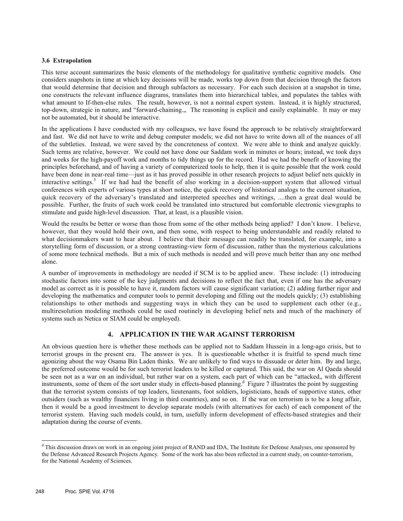#### 3.6 Extrapolation

This terse account summarizes the basic elements of the methodology for qualitative synthetic cognitive models. One considers snapshots in time at which key decisions will be made, works top down from that decision through the factors that would determine that decision and through subfactors as necessary. For each such decision at a snapshot in time, one constructs the relevant influence diagrams, translates them into hierarchical tables, and populates the tables with what amount to If-then-else rules. The result, however, is not a normal expert system. Instead, it is highly structured, top-down, strategic in nature, and "forward-chaining.,, The reasoning is explicit and easily explainable. It may or may not be automated, but it should be interactive.

In the applications I have conducted with my colleagues, we have found the approach to be relatively straightforward and fast. We did not have to write and debug computer models; we did not have to write down all of the nuances of all of the subtleties. Instead, we were saved by the concreteness of context. We were able to think and analyze quickly. Such terms are relative, however. We could not have done our Saddam work in minutes or hours; instead, we took days and weeks for the high-payoff work and months to tidy things up for the record. Had we had the benefit of knowing the principles beforehand, and of having a variety of computerized tools to help, then it is quite possible that the work could have been done in near-real time—just as it has proved possible in other research projects to adjust belief nets quickly in interactive settings.<sup>3</sup> If we had had the benefit of also working in a decision-support system that allowed virtual conferences with experts of various types at short notice, the quick recovery of historical analogs to the current situation, quick recovery of the adversary's translated and interpreted speeches and writings, ....then a great deal would be possible. Further, the fruits of such work could be translated into structured but comfortable electronic viewgraphs to stimulate and guide high-level discussion. That, at least, is a plausible vision.

Would the results be better or worse than those from some of the other methods being applied? I don't know. I believe, however, that they would hold their own, and then some, with respect to being understandable and readily related to what decisionmakers want to hear about. I believe that their message can readily be translated, for example, into a storytelling form of discussion, or a strong contrasting-view form of discussion, rather than the mysterious calculations of some more technical methods. But a mix of such methods is needed and will prove much better than any one method alone.

A number of improvements in methodology are needed if SCM is to be applied anew. These include: (1) introducing stochastic factors into some of the key judgments and decisions to reflect the fact that, even if one has the adversary model as correct as it is possible to have it, random factors will cause significant variation; (2) adding further rigor and developing the mathematics and computer tools to permit developing and filling out the models quickly; (3) establishing relationships to other methods and suggesting ways in which they can be used to supplement each other (e.g., multiresolution modeling methods could be used routinely in developing belief nets and much of the machinery of systems such as Netica or SIAM could be employed).

#### 4. APPLICATION IN THE WAR AGAINST TERRORISM

An obvious question here is whether these methods can be applied not to Saddam Hussein in a long-ago crisis, but to terrorist groups in the present era. The answer is yes. It is questionable whether it is fruitful to spend much time agonizing about the way Osama Bin Laden thinks. We are unlikely to find ways to dissuade or deter him. By and large, the preferred outcome would be for such terrorist leaders to be killed or captured. This said, the war on Al Qaeda should be seen not as a war on an individual, but rather war on a system, each part of which can be "attacked,, with different instruments, some of them of the sort under study in effects-based planning.<sup>d</sup> Figure 7 illustrates the point by suggesting that the terrorist system consists of top leaders, lieutenants, foot soldiers, logisticians, heads of supportive states, other outsiders (such as wealthy financiers living in third countries), and so on. If the war on terrorism is to be a long affair, then it would be a good investment to develop separate models (with alternatives for each) of each component of the terrorist system. Having such models could, in turn, usefully inform development of effects-based strategies and their adaptation during the course of events.

This discussion draws on work in an ongoing joint project of RAND and IDA, The Institute for Defense Analyses, one sponsored by  $d$ the Defense Advanced Research Projects Agency. Some of the work has also been reflected in a current study, on counter-terrorism, for the National Academy of Sciences.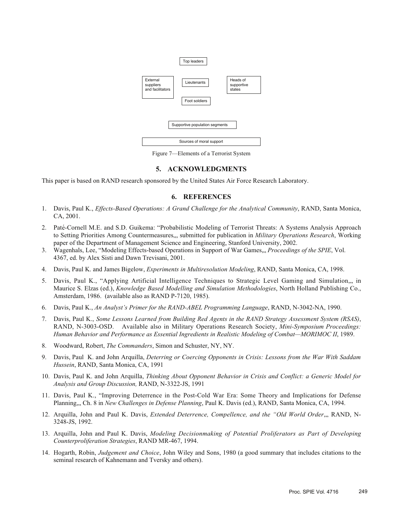

Figure 7—Elements of a Terrorist System

#### 5. ACKNOWLEDGMENTS

This paper is based on RAND research sponsored by the United States Air Force Research Laboratory.

#### 6. REFERENCES

- 1. Davis, Paul K., *Effects-Based Operations: A Grand Challenge for the Analytical Community*, RAND, Santa Monica, CA, 2001.
- 2. Paté-Cornell M.E. and S.D. Guikema: "Probabilistic Modeling of Terrorist Threats: A Systems Analysis Approach to Setting Priorities Among Countermeasures,,, submitted for publication in Military Operations Research, Working paper of the Department of Management Science and Engineering, Stanford University, 2002.
- 3. Wagenhals, Lee, "Modeling Effects-based Operations in Support of War Games,,, Proceedings of the SPIE, Vol. 4367, ed. by Alex Sisti and Dawn Trevisani, 2001.
- 4. Davis, Paul K. and James Bigelow, Experiments in Multiresolution Modeling, RAND, Santa Monica, CA, 1998.
- 5. Davis, Paul K., "Applying Artificial Intelligence Techniques to Strategic Level Gaming and Simulation,, in Maurice S. Elzas (ed.), *Knowledge Based Modelling and Simulation Methodologies*, North Holland Publishing Co., Amsterdam, 1986. (available also as RAND P-7120, 1985).
- 6. Davis, Paul K., An Analyst's Primer for the RAND-ABEL Programming Language, RAND, N-3042-NA, 1990.
- 7. Davis, Paul K., Some Lessons Learned from Building Red Agents in the RAND Strategy Assessment System (RSAS), RAND, N-3003-OSD. Available also in Military Operations Research Society, Mini-Symposium Proceedings: Human Behavior and Performance as Essential Ingredients in Realistic Modeling of Combat—MORIMOC II, 1989.
- 8. Woodward, Robert, The Commanders, Simon and Schuster, NY, NY.
- 9. Davis, Paul K. and John Arquilla, Deterring or Coercing Opponents in Crisis: Lessons from the War With Saddam Hussein, RAND, Santa Monica, CA, 1991
- 10. Davis, Paul K. and John Arquilla, Thinking About Opponent Behavior in Crisis and Conflict: a Generic Model for Analysis and Group Discussion, RAND, N-3322-JS, 1991
- 11. Davis, Paul K., "Improving Deterrence in the Post-Cold War Era: Some Theory and Implications for Defense Planning,,, Ch. 8 in New Challenges in Defense Planning, Paul K. Davis (ed.), RAND, Santa Monica, CA, 1994.
- 12. Arquilla, John and Paul K. Davis, *Extended Deterrence, Compellence, and the "Old World Order*,,, RAND, N-3248-JS, 1992.
- 13. Arquilla, John and Paul K. Davis, Modeling Decisionmaking of Potential Proliferators as Part of Developing Counterproliferation Strategies, RAND MR-467, 1994.
- 14. Hogarth, Robin, Judgement and Choice, John Wiley and Sons, 1980 (a good summary that includes citations to the seminal research of Kahnemann and Tversky and others).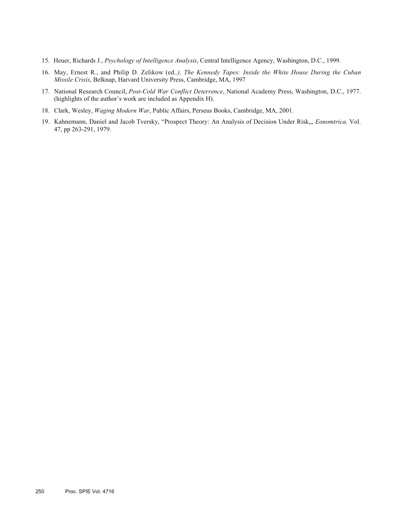- 15. Heuer, Richards J., Psychology of Intelligence Analysis, Central Intelligence Agency, Washington, D.C., 1999.
- 16. May, Ernest R., and Philip D. Zelikow (ed..), The Kennedy Tapes: Inside the White House During the Cuban Missile Crisis, Belknap, Harvard University Press, Cambridge, MA, 1997
- 17. National Research Council, Post-Cold War Conflict Deterrence, National Academy Press, Washington, D.C., 1977. (highlights of the author's work are included as Appendix H).
- 18. Clark, Wesley, Waging Modern War, Public Affairs, Perseus Books, Cambridge, MA, 2001.
- 19. Kahnemann, Daniel and Jacob Tversky, "Prospect Theory: An Analysis of Decision Under Risk,,, Eonomtrica, Vol. 47, pp 263-291, 1979.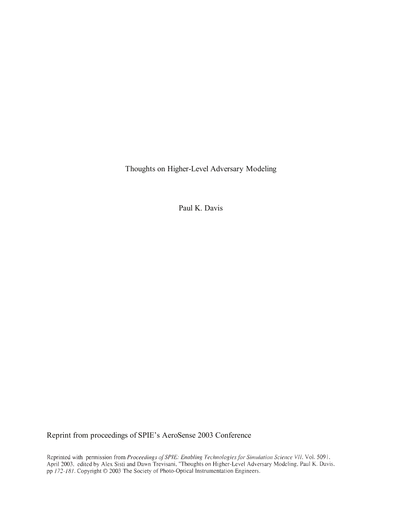Thoughts on Higher-Level Adversary Modeling

Paul K. Davis

Reprint from proceedings of SPIE's AeroSense 2003 Conference

Reprinted with permission from Proceedings of SPIE: Enabling Technologies for Simulation Science VII. Vol. 5091. April 2003. edited by Alex Sisti and Dawn Trevisani, "Thoughts on Higher-Level Adversary Modeling, Paul K. Davis, pp 172-181. Copyright © 2003 The Society of Photo-Optical Instrumentation Engineers.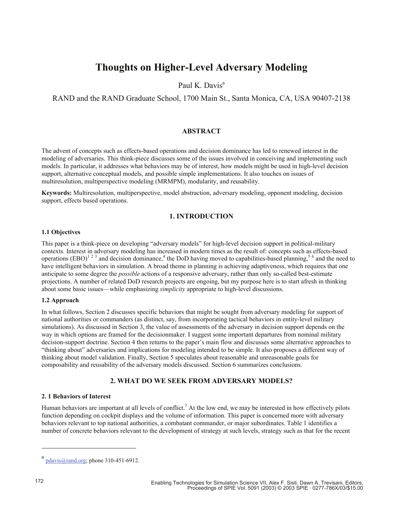## **Thoughts on Higher-Level Adversary Modeling**

Paul K. Davis<sup>a</sup>

RAND and the RAND Graduate School, 1700 Main St., Santa Monica, CA, USA 90407-2138

#### **ABSTRACT**

The advent of concepts such as effects-based operations and decision dominance has led to renewed interest in the modeling of adversaries. This think-piece discusses some of the issues involved in conceiving and implementing such models. In particular, it addresses what behaviors may be of interest, how models might be used in high-level decision support, alternative conceptual models, and possible simple implementations. It also touches on issues of multiresolution, multiperspective modeling (MRMPM), modularity, and reusability.

**Keywords:** Multiresolution, multiperspective, model abstraction, adversary modeling, opponent modeling, decision support, effects based operations.

#### **1. INTRODUCTION**

#### **1.1 Objectives**

This paper is a think-piece on developing "adversary models" for high-level decision support in political-military contexts. Interest in adversary modeling has increased in modern times as the result of: concepts such as effects-based operations  $(EBO)^{1}$ <sup>23</sup> and decision dominance,<sup>4</sup> the DoD having moved to capabilities-based planning,<sup>56</sup> and the need to have intelligent behaviors in simulation. A broad theme in planning is achieving adaptiveness, which requires that one anticipate to some degree the *possible* actions of a responsive adversary, rather than only so-called best-estimate projections. A number of related DoD research projects are ongoing, but my purpose here is to start afresh in thinking about some basic issues—while emphasizing *simplicity* appropriate to high-level discussions.

#### **1.2 Approach**

In what follows, Section 2 discusses specific behaviors that might be sought from adversary modeling for support of national authorities or commanders (as distinct, say, from incorporating tactical behaviors in entity-level military simulations). As discussed in Section 3, the value of assessments of the adversary in decision support depends on the way in which options are framed for the decisionmaker. I suggest some important departures from nominal military decision-support doctrine. Section 4 then returns to the paper's main flow and discusses some alternative approaches to "thinking about" adversaries and implications for modeling intended to be simple. It also proposes a different way of thinking about model validation. Finally, Section 5 speculates about reasonable and unreasonable goals for composability and reusability of the adversary models discussed. Section 6 summarizes conclusions.

#### **2. WHAT DO WE SEEK FROM ADVERSARY MODELS?**

#### **2. 1 Behaviors of Interest**

Human behaviors are important at all levels of conflict.<sup>7</sup> At the low end, we may be interested in how effectively pilots function depending on cockpit displays and the volume of information. This paper is concerned more with adversary behaviors relevant to top national authorities, a combatant commander, or major subordinates. Table 1 identifies a number of concrete behaviors relevant to the development of strategy at such levels, strategy such as that for the recent

a [pdavis@rand.org;](mailto:pdavis@rand.org) phone 310-451-6912.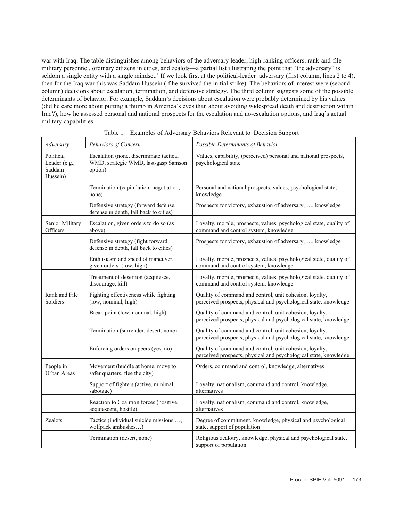war with Iraq. The table distinguishes among behaviors of the adversary leader, high-ranking officers, rank-and-file military personnel, ordinary citizens in cities, and zealots—a partial list illustrating the point that "the adversary" is seldom a single entity with a single mindset.<sup>8</sup> If we look first at the political-leader adversary (first column, lines 2 to 4), then for the Iraq war this was Saddam Hussein (if he survived the initial strike). The behaviors of interest were (second column) decisions about escalation, termination, and defensive strategy. The third column suggests some of the possible determinants of behavior. For example, Saddam's decisions about escalation were probably determined by his values (did he care more about putting a thumb in America's eyes than about avoiding widespread death and destruction within Iraq?), how he assessed personal and national prospects for the escalation and no-escalation options, and Iraq's actual military capabilities.

| Adversary                                        | <b>Behaviors of Concern</b>                                                                | Possible Determinants of Behavior                                                                                           |
|--------------------------------------------------|--------------------------------------------------------------------------------------------|-----------------------------------------------------------------------------------------------------------------------------|
| Political<br>Leader (e.g.,<br>Saddam<br>Hussein) | Escalation (none, discriminate tactical<br>WMD, strategic WMD, last-gasp Samson<br>option) | Values, capability, (perceived) personal and national prospects,<br>psychological state                                     |
|                                                  | Termination (capitulation, negotiation,<br>none)                                           | Personal and national prospects, values, psychological state,<br>knowledge                                                  |
|                                                  | Defensive strategy (forward defense,<br>defense in depth, fall back to cities)             | Prospects for victory, exhaustion of adversary, , knowledge                                                                 |
| Senior Military<br>Officers                      | Escalation, given orders to do so (as<br>above)                                            | Loyalty, morale, prospects, values, psychological state, quality of<br>command and control system, knowledge                |
|                                                  | Defensive strategy (fight forward,<br>defense in depth, fall back to cities)               | Prospects for victory, exhaustion of adversary, , knowledge                                                                 |
|                                                  | Enthusiasm and speed of maneuver,<br>given orders (low, high)                              | Loyalty, morale, prospects, values, psychological state, quality of<br>command and control system, knowledge                |
|                                                  | Treatment of desertion (acquiesce,<br>discourage, kill)                                    | Loyalty, morale, prospects, values, psychological state. quality of<br>command and control system, knowledge                |
| Rank and File<br>Soldiers                        | Fighting effectiveness while fighting<br>(low, nominal, high)                              | Quality of command and control, unit cohesion, loyalty,<br>perceived prospects, physical and psychological state, knowledge |
|                                                  | Break point (low, nominal, high)                                                           | Quality of command and control, unit cohesion, loyalty,<br>perceived prospects, physical and psychological state, knowledge |
|                                                  | Termination (surrender, desert, none)                                                      | Quality of command and control, unit cohesion, loyalty,<br>perceived prospects, physical and psychological state, knowledge |
|                                                  | Enforcing orders on peers (yes, no)                                                        | Quality of command and control, unit cohesion, loyalty,<br>perceived prospects, physical and psychological state, knowledge |
| People in<br><b>Urban Areas</b>                  | Movement (huddle at home, move to<br>safer quarters, flee the city)                        | Orders, command and control, knowledge, alternatives                                                                        |
|                                                  | Support of fighters (active, minimal,<br>sabotage)                                         | Loyalty, nationalism, command and control, knowledge,<br>alternatives                                                       |
|                                                  | Reaction to Coalition forces (positive,<br>acquiescent, hostile)                           | Loyalty, nationalism, command and control, knowledge,<br>alternatives                                                       |
| Zealots                                          | Tactics (individual suicide missions,,<br>wolfpack ambushes)                               | Degree of commitment, knowledge, physical and psychological<br>state, support of population                                 |
|                                                  | Termination (desert, none)                                                                 | Religious zealotry, knowledge, physical and psychological state,<br>support of population                                   |

|  |  | Table 1—Examples of Adversary Behaviors Relevant to Decision Support |  |
|--|--|----------------------------------------------------------------------|--|
|  |  |                                                                      |  |
|  |  |                                                                      |  |
|  |  |                                                                      |  |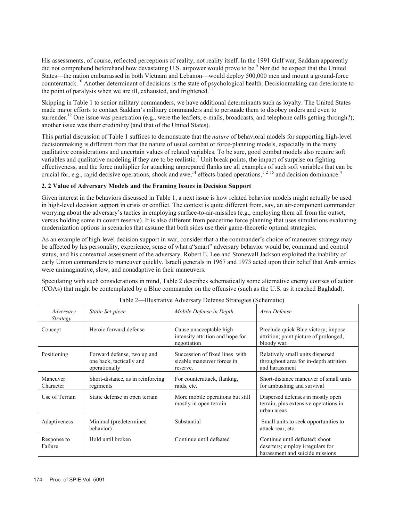His assessments, of course, reflected perceptions of reality, not reality itself. In the 1991 Gulf war, Saddam apparently did not comprehend beforehand how devastating U.S. airpower would prove to be.<sup>9</sup> Nor did he expect that the United States—the nation embarrassed in both Vietnam and Lebanon—would deploy 500,000 men and mount a ground-force counterattack.10 Another determinant of decisions is the state of psychological health. Decisionmaking can deteriorate to the point of paralysis when we are ill, exhausted, and frightened.<sup>1</sup>

Skipping in Table 1 to senior military commanders, we have additional determinants such as loyalty. The United States made major efforts to contact Saddam's military commanders and to persuade them to disobey orders and even to surrender.<sup>12</sup> One issue was penetration (e.g., were the leaflets, e-mails, broadcasts, and telephone calls getting through?); another issue was their credibility (and that of the United States).

This partial discussion of Table 1 suffices to demonstrate that the *nature* of behavioral models for supporting high-level decisionmaking is different from that the nature of usual combat or force-planning models, especially in the many qualitative considerations and uncertain values of related variables. To be sure, good combat models also require soft variables and qualitative modeling if they are to be realistic.<sup>7</sup> Unit break points, the impact of surprise on fighting effectiveness, and the force multiplier for attacking unprepared flanks are all examples of such soft variables that can be crucial for, e.g., rapid decisive operations, shock and awe,  $^{14}$  effects-based operations,<sup>12 15</sup> and decision dominance.<sup>4</sup>

#### **2. 2 Value of Adversary Models and the Framing Issues in Decision Support**

Given interest in the behaviors discussed in Table 1, a next issue is how related behavior models might actually be used in high-level decision support in crisis or conflict. The context is quite different from, say, an air-component commander worrying about the adversary's tactics in employing surface-to-air-missiles (e.g., employing them all from the outset, versus holding some in covert reserve). It is also different from peacetime force planning that uses simulations evaluating modernization options in scenarios that assume that both sides use their game-theoretic optimal strategies.

As an example of high-level decision support in war, consider that a the commander's choice of maneuver strategy may be affected by his personality, experience, sense of what a"smart" adversary behavior would be, command and control status, and his contextual assessment of the adversary. Robert E. Lee and Stonewall Jackson exploited the inability of early Union commanders to maneuver quickly. Israeli generals in 1967 and 1973 acted upon their belief that Arab armies were unimaginative, slow, and nonadaptive in their maneuvers.

Speculating with such considerations in mind, Table 2 describes schematically some alternative enemy courses of action (COAs) that might be contemplated by a Blue commander on the offensive (such as the U.S. as it reached Baghdad).

| Adversary<br>Strategy  | Static Set-piece                                                         | Mobile Defense in Depth                                                     | Area Defense                                                                                          |
|------------------------|--------------------------------------------------------------------------|-----------------------------------------------------------------------------|-------------------------------------------------------------------------------------------------------|
| Concept                | Heroic forward defense                                                   | Cause unacceptable high-<br>intensity attrition and hope for<br>negotiation | Preclude quick Blue victory; impose<br>attrition; paint picture of prolonged,<br>bloody war.          |
| Positioning            | Forward defense, two up and<br>one back, tactically and<br>operationally | Succession of fixed lines with<br>sizable maneuver forces in<br>reserve.    | Relatively small units dispersed<br>throughout area for in-depth attrition<br>and harassment          |
| Maneuver<br>Character  | Short-distance, as in reinforcing<br>regiments                           | For counterattack, flankng,<br>raids, etc.                                  | Short-distance maneuver of small units<br>for ambushing and survival                                  |
| Use of Terrain         | Static defense in open terrain                                           | More mobile operations but still<br>mostly in open terrain                  | Dispersed defenses in mostly open<br>terrain, plus extensive operations in<br>urban areas             |
| Adaptiveness           | Minimal (predetermined)<br>behavior)                                     | Substantial                                                                 | Small units to seek opportunities to<br>attack rear, etc.                                             |
| Response to<br>Failure | Hold until broken                                                        | Continue until defeated                                                     | Continue until defeated; shoot<br>deserters; employ irregulars for<br>harassment and suicide missions |

Table 2—Illustrative Adversary Defense Strategies (Schematic)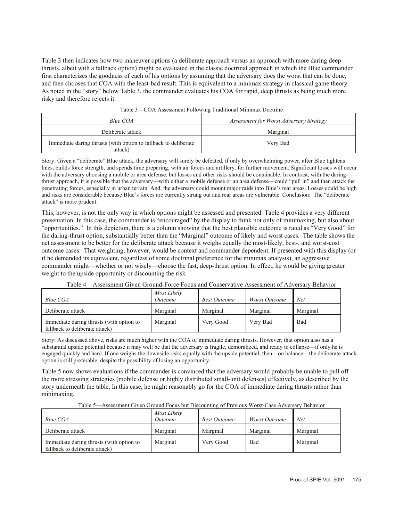Table 3 then indicates how two maneuver options (a deliberate approach versus an approach with more daring deep thrusts, albeit with a fallback option) might be evaluated in the classic doctrinal approach in which the Blue commander first characterizes the goodness of each of his options by assuming that the adversary does the worst that can be done, and then chooses that COA with the least-bad result. This is equivalent to a minimax strategy in classical game theory. As noted in the "story" below Table 3, the commander evaluates his COA for rapid, deep thrusts as being much more risky and therefore rejects it.

| Blue COA                                                                   | Assessment for Worst Adversary Strategy |
|----------------------------------------------------------------------------|-----------------------------------------|
| Deliberate attack                                                          | Marginal                                |
| Immediate daring thrusts (with option to fallback to deliberate<br>attack) | Very Bad                                |

Story: Given a "deliberate" Blue attack, the adversary will surely be defeated, if only by overwhelming power, after Blue tightens lines, builds force strength, and spends time preparing, with air forces and artillery, for further movement. Significant losses will occur with the adversary choosing a mobile or area defense, but losses and other risks should be containable. In contrast, with the daringthrust approach, it is possible that the adversary—with either a mobile defense or an area defense—could "pull in" and then attack the penetrating forces, especially in urban terrain. And, the adversary could mount major raids into Blue's rear areas. Losses could be high and risks are considerable because Blue's forces are currently strung out and rear areas are vulnerable. Conclusion: The "deliberate attack" is more prudent.

This, however, is not the only way in which options might be assessed and presented. Table 4 provides a very different presentation. In this case, the commander is "encouraged" by the display to think not only of minimaxing, but also about "opportunities." In this depiction, there is a column showing that the best plausible outcome is rated as "Very Good" for the daring-thrust option, substantially better than the "Marginal" outcome of likely and worst cases. The table shows the net assessment to be better for the deliberate attack because it weighs equally the most-likely, best-, and worst-cost outcome cases. That weighting, however, would be context and commander dependent. If presented with this display (or if he demanded its equivalent, regardless of some doctrinal preference for the minimax analysis), an aggressive commander might—whether or not wisely—choose the fast, deep-thrust option. In effect, he would be giving greater weight to the upside opportunity or discounting the risk

| Table 4—ASSessinent Cryen Cround-Force Pocus and Conservative ASSessinent of Adversary Denavior |             |                     |               |            |  |
|-------------------------------------------------------------------------------------------------|-------------|---------------------|---------------|------------|--|
|                                                                                                 | Most Likely |                     |               |            |  |
| Blue COA                                                                                        | Outcome     | <b>Best Outcome</b> | Worst Outcome | Net        |  |
| Deliberate attack                                                                               | Marginal    | Marginal            | Marginal      | Marginal   |  |
| Immediate daring thrusts (with option to<br>fallback to deliberate attack)                      | Marginal    | Very Good           | Very Bad      | <b>Bad</b> |  |

Table 4—Assessment Given Ground-Force Focus and Conservative Assessment of Adversary Behavior

Story: As discussed above, risks are much higher with the COA of immediate daring thrusts. However, that option also has a substantial upside potential because it may well be that the adversary is fragile, demoralized, and ready to collapse—if only he is engaged quickly and hard. If one weighs the downside risks equally with the upside potential, then—on balance—the deliberate-attack option is still preferable, despite the possibility of losing an opportunity.

Table 5 now shows evaluations if the commander is convinced that the adversary would probably be unable to pull off the more stressing strategies (mobile defense or highly distributed small-unit defenses) effectively, as described by the story underneath the table. In this case, he might reasonably go for the COA of immediate daring thrusts rather than minimaxing.

Table 5—Assessment Given Ground Focus but Discounting of Previous Worst-Case Adversary Behavior

| Blue COA                                                                   | Most Likelv<br>Outcome | <b>Best Outcome</b> | <b>Worst Outcome</b> | Net      |
|----------------------------------------------------------------------------|------------------------|---------------------|----------------------|----------|
| Deliberate attack                                                          | Marginal               | Marginal            | Marginal             | Marginal |
| Immediate daring thrusts (with option to<br>fallback to deliberate attack) | Marginal               | Very Good           | Bad                  | Marginal |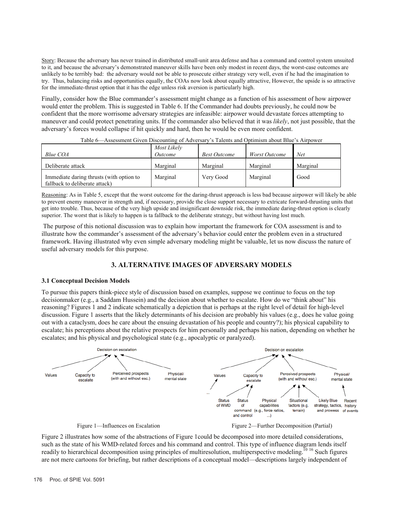Story: Because the adversary has never trained in distributed small-unit area defense and has a command and control system unsuited to it, and because the adversary's demonstrated maneuver skills have been only modest in recent days, the worst-case outcomes are unlikely to be terribly bad: the adversary would not be able to prosecute either strategy very well, even if he had the imagination to try. Thus, balancing risks and opportunities equally, the COAs now look about equally attractive, However, the upside is so attractive for the immediate-thrust option that it has the edge unless risk aversion is particularly high.

Finally, consider how the Blue commander's assessment might change as a function of his assessment of how airpower would enter the problem. This is suggested in Table 6. If the Commander had doubts previously, he could now be confident that the more worrisome adversary strategies are infeasible: airpower would devastate forces attempting to maneuver and could protect penetrating units. If the commander also believed that it was *likely*, not just possible, that the adversary's forces would collapse if hit quickly and hard, then he would be even more confident.

| Blue COA                                                                   | Most Likely<br>Outcome | <b>Best Outcome</b> | Worst Outcome | Net      |
|----------------------------------------------------------------------------|------------------------|---------------------|---------------|----------|
| Deliberate attack                                                          | Marginal               | Marginal            | Marginal      | Marginal |
| Immediate daring thrusts (with option to<br>fallback to deliberate attack) | Marginal               | Very Good           | Marginal      | Good     |

Table 6—Assessment Given Discounting of Adversary's Talents and Optimism about Blue's Airpower

Reasoning: As in Table 5, except that the worst outcome for the daring-thrust approach is less bad because airpower will likely be able to prevent enemy maneuver in strength and, if necessary, provide the close support necessary to extricate forward-thrusting units that get into trouble. Thus, because of the very high upside and insignificant downside risk, the immediate daring-thrust option is clearly superior. The worst that is likely to happen is ta fallback to the deliberate strategy, but without having lost much.

 The purpose of this notional discussion was to explain how important the framework for COA assessment is and to illustrate how the commander's assessment of the adversary's behavior could enter the problem even in a structured framework. Having illustrated why even simple adversary modeling might be valuable, let us now discuss the nature of useful adversary models for this purpose.

#### **3. ALTERNATIVE IMAGES OF ADVERSARY MODELS**

#### **3.1 Conceptual Decision Models**

To pursue this papers think-piece style of discussion based on examples, suppose we continue to focus on the top decisionmaker (e.g., a Saddam Hussein) and the decision about whether to escalate. How do we "think about" his reasoning? Figures 1 and 2 indicate schematically a depiction that is perhaps at the right level of detail for high-level discussion. Figure 1 asserts that the likely determinants of his decision are probably his values (e.g., does he value going out with a cataclysm, does he care about the ensuing devastation of his people and country?); his physical capability to escalate; his perceptions about the relative prospects for him personally and perhaps his nation, depending on whether he escalates; and his physical and psychological state (e.g., apocalyptic or paralyzed).



Figure 2 illustrates how some of the abstractions of Figure 1could be decomposed into more detailed considerations, such as the state of his WMD-related forces and his command and control. This type of influence diagram lends itself readily to hierarchical decomposition using principles of multiresolution, multiperspective modeling.<sup>10 16</sup> Such figures are not mere cartoons for briefing, but rather descriptions of a conceptual model—descriptions largely independent of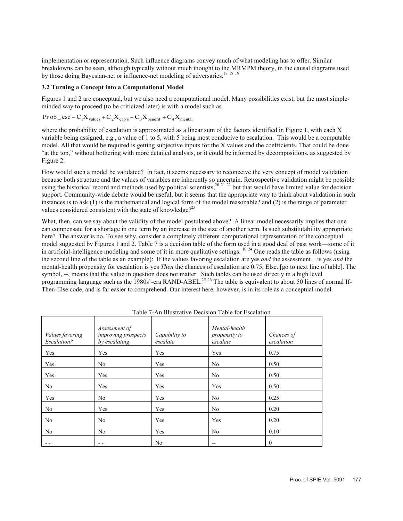implementation or representation. Such influence diagrams convey much of what modeling has to offer. Similar breakdowns can be seen, although typically without much thought to the MRMPM theory, in the causal diagrams used by those doing Bayesian-net or influence-net modeling of adversaries.<sup>17</sup> <sup>18</sup> <sup>19</sup>

#### **3.2 Turning a Concept into a Computational Model**

Figures 1 and 2 are conceptual, but we also need a computational model. Many possibilities exist, but the most simpleminded way to proceed (to be criticized later) is with a model such as

$$
Pr\ ob\_{esc} = C_1 X_{values} + C_2 X_{cap's} + C_3 X_{benefit} + C_4 X_{mental}
$$

where the probability of escalation is approximated as a linear sum of the factors identified in Figure 1, with each X variable being assigned, e.g., a value of 1 to 5, with 5 being most conducive to escalation. This would be a computable model. All that would be required is getting subjective inputs for the X values and the coefficients. That could be done "at the top," without bothering with more detailed analysis, or it could be informed by decompositions, as suggested by Figure 2.

How would such a model be validated? In fact, it seems necessary to reconceive the very concept of model validation because both structure and the values of variables are inherently so uncertain. Retrospective validation might be possible using the historical record and methods used by political scientists,<sup>20 21 22</sup> but that would have limited value for decision support. Community-wide debate would be useful, but it seems that the appropriate way to think about validation in such instances is to ask (1) is the mathematical and logical form of the model reasonable? and (2) is the range of parameter values considered consistent with the state of knowledge?<sup>23</sup>

What, then, can we say about the validity of the model postulated above? A linear model necessarily implies that one can compensate for a shortage in one term by an increase in the size of another term. Is such substitutability appropriate here? The answer is no. To see why, consider a completely different computational representation of the conceptual model suggested by Figures 1 and 2. Table 7 is a decision table of the form used in a good deal of past work—some of it in artificial-intelligence modeling and some of it in more qualitative settings.  $10^{24}$  One reads the table as follows (using the second line of the table as an example): If the values favoring escalation are yes *and* the assessment…is yes *and* the mental-health propensity for escalation is yes *Then* the chances of escalation are 0.75, Else..[go to next line of table]. The symbol, --, means that the value in question does not matter. Such tables can be used directly in a high level programming language such as the 1980s'-era RAND-ABEL.<sup>25 26</sup> The table is equivalent to about 50 lines of normal If-Then-Else code, and is far easier to comprehend. Our interest here, however, is in its role as a conceptual model.

| <i>Values favoring</i><br>Escalation? | Assessment of<br><i>improving prospects</i><br>by escalating | Capability to<br>escalate | Mental-health<br>propensity to<br>escalate | Chances of<br>escalation |
|---------------------------------------|--------------------------------------------------------------|---------------------------|--------------------------------------------|--------------------------|
| Yes                                   | Yes                                                          | Yes                       | Yes                                        | 0.75                     |
| Yes                                   | N <sub>0</sub>                                               | Yes                       | N <sub>0</sub>                             | 0.50                     |
| Yes                                   | Yes                                                          | Yes                       | No                                         | 0.50                     |
| N <sub>0</sub>                        | Yes                                                          | Yes                       | Yes                                        | 0.50                     |
| Yes                                   | N <sub>0</sub>                                               | Yes                       | No                                         | 0.25                     |
| No                                    | Yes                                                          | Yes                       | No                                         | 0.20                     |
| No                                    | N <sub>0</sub>                                               | Yes                       | Yes                                        | 0.20                     |
| No                                    | N <sub>0</sub>                                               | Yes                       | N <sub>0</sub>                             | 0.10                     |
|                                       | $ -$                                                         | No                        | --                                         | $\theta$                 |

Table 7-An Illustrative Decision Table for Escalation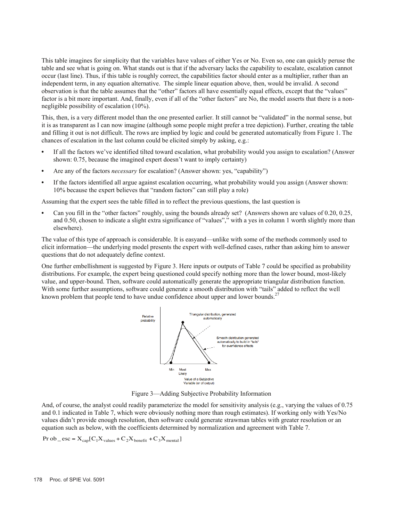This table imagines for simplicity that the variables have values of either Yes or No. Even so, one can quickly peruse the table and see what is going on. What stands out is that if the adversary lacks the capability to escalate, escalation cannot occur (last line). Thus, if this table is roughly correct, the capabilities factor should enter as a multiplier, rather than an independent term, in any equation alternative. The simple linear equation above, then, would be invalid. A second observation is that the table assumes that the "other" factors all have essentially equal effects, except that the "values" factor is a bit more important. And, finally, even if all of the "other factors" are No, the model asserts that there is a nonnegligible possibility of escalation (10%).

This, then, is a very different model than the one presented earlier. It still cannot be "validated" in the normal sense, but it is as transparent as I can now imagine (although some people might prefer a tree depiction). Further, creating the table and filling it out is not difficult. The rows are implied by logic and could be generated automatically from Figure 1. The chances of escalation in the last column could be elicited simply by asking, e.g.:

- If all the factors we've identified tilted toward escalation, what probability would you assign to escalation? (Answer shown: 0.75, because the imagined expert doesn't want to imply certainty)
- Are any of the factors *necessary* for escalation? (Answer shown: yes, "capability")
- If the factors identified all argue against escalation occurring, what probability would you assign (Answer shown: 10% because the expert believes that "random factors" can still play a role)

Assuming that the expert sees the table filled in to reflect the previous questions, the last question is

• Can you fill in the "other factors" roughly, using the bounds already set? (Answers shown are values of 0.20, 0.25, and 0.50, chosen to indicate a slight extra significance of "values"," with a yes in column 1 worth slightly more than elsewhere).

The value of this type of approach is considerable. It is easyand—unlike with some of the methods commonly used to elicit information—the underlying model presents the expert with well-defined cases, rather than asking him to answer questions that do not adequately define context.

One further embellishment is suggested by Figure 3. Here inputs or outputs of Table 7 could be specified as probability distributions. For example, the expert being questioned could specify nothing more than the lower bound, most-likely value, and upper-bound. Then, software could automatically generate the appropriate triangular distribution function. With some further assumptions, software could generate a smooth distribution with "tails" added to reflect the well known problem that people tend to have undue confidence about upper and lower bounds. $2^2$ 



Figure 3—Adding Subjective Probability Information

And, of course, the analyst could readily parameterize the model for sensitivity analysis (e.g., varying the values of 0.75 and 0.1 indicated in Table 7, which were obviously nothing more than rough estimates). If working only with Yes/No values didn't provide enough resolution, then software could generate strawman tables with greater resolution or an equation such as below, with the coefficients determined by normalization and agreement with Table 7.

 $Pr$  ob  $Res = X_{cap} [C_1 X_{values} + C_2 X_{benefit} + C_3 X_{mental}]$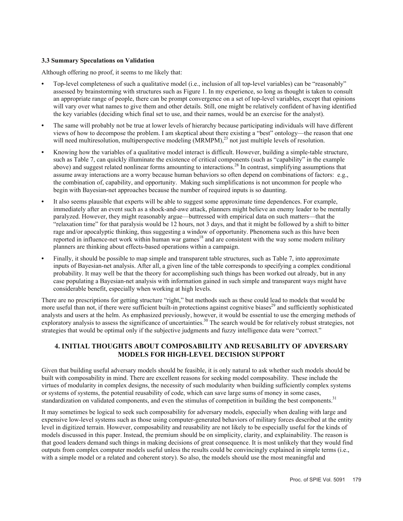#### **3.3 Summary Speculations on Validation**

Although offering no proof, it seems to me likely that:

- Top-level completeness of such a qualitative model (i.e., inclusion of all top-level variables) can be "reasonably" assessed by brainstorming with structures such as Figure 1. In my experience, so long as thought is taken to consult an appropriate range of people, there can be prompt convergence on a set of top-level variables, except that opinions will vary over what names to give them and other details. Still, one might be relatively confident of having identified the key variables (deciding which final set to use, and their names, would be an exercise for the analyst).
- The same will probably not be true at lower levels of hierarchy because participating individuals will have different views of how to decompose the problem. I am skeptical about there existing a "best" ontology—the reason that one will need multiresolution, multiperspective modeling  $(MRMPM)$ ,<sup>23</sup> not just multiple levels of resolution.
- Knowing how the variables of a qualitative model interact is difficult. However, building a simple-table structure, such as Table 7, can quickly illuminate the existence of critical components (such as "capability" in the example above) and suggest related nonlinear forms amounting to interactions.<sup>28</sup> In contrast, simplifying assumptions that assume away interactions are a worry because human behaviors so often depend on combinations of factors: e.g., the combination of, capability, and opportunity. Making such simplifications is not uncommon for people who begin with Bayesian-net approaches because the number of required inputs is so daunting.
- It also seems plausible that experts will be able to suggest some approximate time dependences. For example, immediately after an event such as a shock-and-awe attack, planners might believe an enemy leader to be mentally paralyzed. However, they might reasonably argue—buttressed with empirical data on such matters—that the "relaxation time" for that paralysis would be 12 hours, not 3 days, and that it might be followed by a shift to bitter rage and/or apocalyptic thinking, thus suggesting a window of opportunity. Phenomena such as this have been reported in influence-net work within human war games<sup>18</sup> and are consistent with the way some modern military planners are thinking about effects-based operations within a campaign.
- Finally, it should be possible to map simple and transparent table structures, such as Table 7, into approximate inputs of Bayesian-net analysis. After all, a given line of the table corresponds to specifying a complex conditional probability. It may well be that the theory for accomplishing such things has been worked out already, but in any case populating a Bayesian-net analysis with information gained in such simple and transparent ways might have considerable benefit, especially when working at high levels.

There are no prescriptions for getting structure "right," but methods such as these could lead to models that would be more useful than not, if there were sufficient built-in protections against cognitive biases<sup>29</sup> and sufficiently sophisticated analysts and users at the helm. As emphasized previously, however, it would be essential to use the emerging methods of exploratory analysis to assess the significance of uncertainties.<sup>30</sup> The search would be for relatively robust strategies, not strategies that would be optimal only if the subjective judgments and fuzzy intelligence data were "correct."

#### **4. INITIAL THOUGHTS ABOUT COMPOSABILITY AND REUSABILITY OF ADVERSARY MODELS FOR HIGH-LEVEL DECISION SUPPORT**

Given that building useful adversary models should be feasible, it is only natural to ask whether such models should be built with composability in mind. There are excellent reasons for seeking model composability. These include the virtues of modularity in complex designs, the necessity of such modularity when building sufficiently complex systems or systems of systems, the potential reusability of code, which can save large sums of money in some cases, standardization on validated components, and even the stimulus of competition in building the best components.<sup>31</sup>

It may sometimes be logical to seek such composability for adversary models, especially when dealing with large and expensive low-level systems such as those using computer-generated behaviors of military forces described at the entity level in digitized terrain. However, composability and reusability are not likely to be especially useful for the kinds of models discussed in this paper. Instead, the premium should be on simplicity, clarity, and explainability. The reason is that good leaders demand such things in making decisions of great consequence. It is most unlikely that they would find outputs from complex computer models useful unless the results could be convincingly explained in simple terms (i.e., with a simple model or a related and coherent story). So also, the models should use the most meaningful and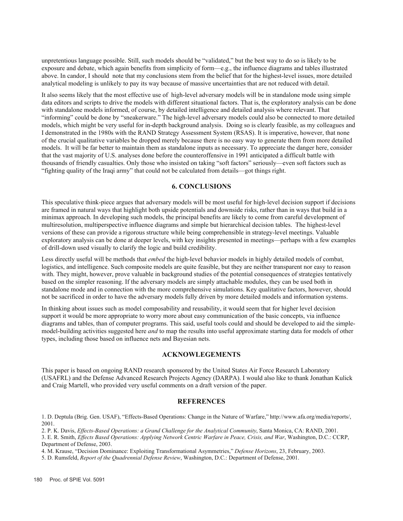unpretentious language possible. Still, such models should be "validated," but the best way to do so is likely to be exposure and debate, which again benefits from simplicity of form—e.g., the influence diagrams and tables illustrated above. In candor, I should note that my conclusions stem from the belief that for the highest-level issues, more detailed analytical modeling is unlikely to pay its way because of massive uncertainties that are not reduced with detail.

It also seems likely that the most effective use of high-level adversary models will be in standalone mode using simple data editors and scripts to drive the models with different situational factors. That is, the exploratory analysis can be done with standalone models informed, of course, by detailed intelligence and detailed analysis where relevant. That "informing" could be done by "sneakerware." The high-level adversary models could also be connected to more detailed models, which might be very useful for in-depth background analysis. Doing so is clearly feasible, as my colleagues and I demonstrated in the 1980s with the RAND Strategy Assessment System (RSAS). It is imperative, however, that none of the crucial qualitative variables be dropped merely because there is no easy way to generate them from more detailed models. It will be far better to maintain them as standalone inputs as necessary. To appreciate the danger here, consider that the vast majority of U.S. analyses done before the counteroffensive in 1991 anticipated a difficult battle with thousands of friendly casualties. Only those who insisted on taking "soft factors" seriously—even soft factors such as "fighting quality of the Iraqi army" that could not be calculated from details—got things right.

#### **6. CONCLUSIONS**

This speculative think-piece argues that adversary models will be most useful for high-level decision support if decisions are framed in natural ways that highlight both upside potentials and downside risks, rather than in ways that build in a minimax approach. In developing such models, the principal benefits are likely to come from careful development of multiresolution, multiperspective influence diagrams and simple but hierarchical decision tables. The highest-level versions of these can provide a rigorous structure while being comprehensible in strategy-level meetings. Valuable exploratory analysis can be done at deeper levels, with key insights presented in meetings—perhaps with a few examples of drill-down used visually to clarify the logic and build credibility.

Less directly useful will be methods that *embed* the high-level behavior models in highly detailed models of combat, logistics, and intelligence. Such composite models are quite feasible, but they are neither transparent nor easy to reason with. They might, however, prove valuable in background studies of the potential consequences of strategies tentatively based on the simpler reasoning. If the adversary models are simply attachable modules, they can be used both in standalone mode and in connection with the more comprehensive simulations. Key qualitative factors, however, should not be sacrificed in order to have the adversary models fully driven by more detailed models and information systems.

In thinking about issues such as model composability and reusability, it would seem that for higher level decision support it would be more appropriate to worry more about easy communication of the basic concepts, via influence diagrams and tables, than of computer programs. This said, useful tools could and should be developed to aid the simplemodel-building activities suggested here *and* to map the results into useful approximate starting data for models of other types, including those based on influence nets and Bayesian nets.

#### **ACKNOWLEGEMENTS**

This paper is based on ongoing RAND research sponsored by the United States Air Force Research Laboratory (USAFRL) and the Defense Advanced Research Projects Agency (DARPA). I would also like to thank Jonathan Kulick and Craig Martell, who provided very useful comments on a draft version of the paper.

#### **REFERENCES**

1. D. Deptula (Brig. Gen. USAF), "Effects-Based Operations: Change in the Nature of Warfare," [http://www.afa.org/media/reports/,](http://www.afa.org/media/reports/) 2001.

2. P. K. Davis, *Effects-Based Operations: a Grand Challenge for the Analytical Community*, Santa Monica, CA: RAND, 2001.

3. E. R. Smith, *Effects Based Operations: Applying Network Centric Warfare in Peace, Crisis, and War*, Washington, D.C.: CCRP, Department of Defense, 2003.

4. M. Krause, "Decision Dominance: Exploiting Transformational Asymmetries," *Defense Horizons*, 23, February, 2003.

5. D. Rumsfeld, *Report of the Quadrennial Defense Review*, Washington, D.C.: Department of Defense, 2001.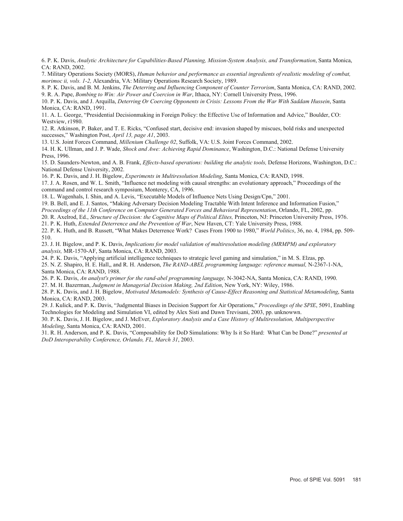6. P. K. Davis, *Analytic Architecture for Capabilities-Based Planning, Mission-System Analysis, and Transformation*, Santa Monica, CA: RAND, 2002.

7. Military Operations Society (MORS), *Human behavior and performance as essential ingredients of realistic modeling of combat, morimoc ii, vols. 1-2,* Alexandria, VA: Military Operations Research Society, 1989.

8. P. K. Davis, and B. M. Jenkins, *The Deterring and Influencing Component of Counter Terrorism*, Santa Monica, CA: RAND, 2002. 9. R. A. Pape, *Bombing to Win: Air Power and Coercion in War*, Ithaca, NY: Cornell University Press, 1996.

10. P. K. Davis, and J. Arquilla, *Deterring Or Coercing Opponents in Crisis: Lessons From the War With Saddam Hussein*, Santa Monica, CA: RAND, 1991.

11. A. L. George, "Presidential Decisionmaking in Foreign Policy: the Effective Use of Information and Advice," Boulder, CO: Westview, r1980.

12. R. Atkinson, P. Baker, and T. E. Ricks, "Confused start, decisive end: invasion shaped by miscues, bold risks and unexpected successes," Washington Post, *April 13, page A1*, 2003.

13. U.S. Joint Forces Command, *Millenium Challenge 02*, Suffolk, VA: U.S. Joint Forces Command, 2002.

14. H. K. Ullman, and J. P. Wade, *Shock and Awe: Achieving Rapid Dominance*, Washington, D.C.: National Defense University Press, 1996.

15. D. Saunders-Newton, and A. B. Frank, *Effects-based operations: building the analytic tools,* Defense Horizons, Washington, D.C.: National Defense University, 2002.

16. P. K. Davis, and J. H. Bigelow, *Experiments in Multiresolution Modeling*, Santa Monica, CA: RAND, 1998.

17. J. A. Rosen, and W. L. Smith, "Influence net modeling with causal strengths: an evolutionary approach," Proceedings of the command and control research symposium, Monterey, CA, 1996.

18. L. Wagenhals, I. Shin, and A. Levis, "Executable Models of Influence Nets Using Design/Cpn," 2001.

19. B. Bell, and E. J. Santos, "Making Adversary Decision Modeling Tractable With Intent Inference and Information Fusion," *Proceedings of the 11th Conference on Computer Generated Forces and Behavioral Representation*, Orlando, FL, 2002, pp.

20. R. Axelrod, Ed., *Structure of Decision: the Cognitive Maps of Political Elites,* Princeton, NJ: Princeton University Press, 1976.

21. P. K. Huth, *Extended Deterrence and the Prevention of War*, New Haven, CT: Yale University Press, 1988.

22. P. K. Huth, and B. Russett, "What Makes Deterrence Work? Cases From 1900 to 1980," *World Politics*, 36, no. 4, 1984, pp. 509- 510.

23. J. H. Bigelow, and P. K. Davis, *Implications for model validation of multiresolution modeling (MRMPM) and exploratory analysis,* MR-1570-AF, Santa Monica, CA: RAND, 2003.

24. P. K. Davis, "Applying artificial intelligence techniques to strategic level gaming and simulation," in M. S. Elzas, pp. 25. N. Z. Shapiro, H. E. Hall,, and R. H. Anderson, *The RAND-ABEL programming language: reference manual,* N-2367-1-NA,

Santa Monica, CA: RAND, 1988.

26. P. K. Davis, *An analyst's primer for the rand-abel programming language,* N-3042-NA, Santa Monica, CA: RAND, 1990.

27. M. H. Bazerman, *Judgment in Managerial Decision Making, 2nd Edition*, New York, NY: Wiley, 1986.

28. P. K. Davis, and J. H. Bigelow, *Motivated Metamodels: Synthesis of Cause-Effect Reasoning and Statistical Metamodeling*, Santa Monica, CA: RAND, 2003.

29. J. Kulick, and P. K. Davis, "Judgmental Biases in Decision Support for Air Operations," *Proceedings of the SPIE*, 5091, Enabling Technologies for Modeling and Simulation VI, edited by Alex Sisti and Dawn Trevisani, 2003, pp. unknowwn.

30. P. K. Davis, J. H. Bigelow, and J. McEver, *Exploratory Analysis and a Case History of Multiresolution, Multiperspective Modeling*, Santa Monica, CA: RAND, 2001.

31. R. H. Anderson, and P. K. Davis, "Composability for DoD Simulations: Why Is it So Hard: What Can be Done?" *presented at DoD Interoperability Conference, Orlando, FL, March 31*, 2003.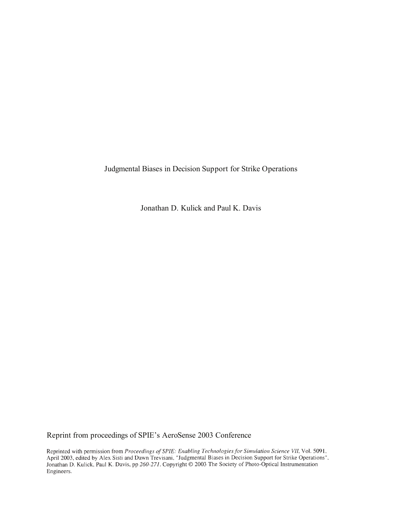Judgmental Biases in Decision Support for Strike Operations

Jonathan D. Kulick and Paul K. Davis

Reprint from proceedings of SPIE's AeroSense 2003 Conference

Reprinted with permission from Proceedings of SPIE: Enabling Technologies for Simulation Science VII, Vol. 5091, April 2003, edited by Alex Sisti and Dawn Trevisani, "Judgmental Biases in Decision Support for Strike Operat Jonathan D. Kulick, Paul K. Davis, pp 260-271. Copyright © 2003 The Society of Photo-Optical Instrumentation Engineers.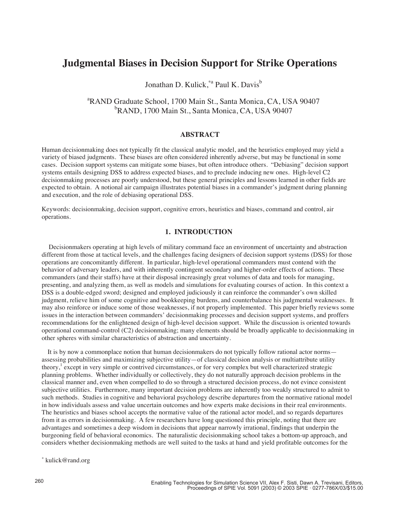### **Judgmental Biases in Decision Support for Strike Operations**

Jonathan D. Kulick,<sup>∗a</sup> Paul K. Davis<sup>b</sup>

a RAND Graduate School, 1700 Main St., Santa Monica, CA, USA 90407 b RAND, 1700 Main St., Santa Monica, CA, USA 90407

#### **ABSTRACT**

Human decisionmaking does not typically fit the classical analytic model, and the heuristics employed may yield a variety of biased judgments. These biases are often considered inherently adverse, but may be functional in some cases. Decision support systems can mitigate some biases, but often introduce others. "Debiasing" decision support systems entails designing DSS to address expected biases, and to preclude inducing new ones. High-level C2 decisionmaking processes are poorly understood, but these general principles and lessons learned in other fields are expected to obtain. A notional air campaign illustrates potential biases in a commander's judgment during planning and execution, and the role of debiasing operational DSS.

Keywords: decisionmaking, decision support, cognitive errors, heuristics and biases, command and control, air operations.

#### **1. INTRODUCTION**

Decisionmakers operating at high levels of military command face an environment of uncertainty and abstraction different from those at tactical levels, and the challenges facing designers of decision support systems (DSS) for those operations are concomitantly different. In particular, high-level operational commanders must contend with the behavior of adversary leaders, and with inherently contingent secondary and higher-order effects of actions. These commanders (and their staffs) have at their disposal increasingly great volumes of data and tools for managing, presenting, and analyzing them, as well as models and simulations for evaluating courses of action. In this context a DSS is a double-edged sword; designed and employed judiciously it can reinforce the commander's own skilled judgment, relieve him of some cognitive and bookkeeping burdens, and counterbalance his judgmental weaknesses. It may also reinforce or induce some of those weaknesses, if not properly implemented. This paper briefly reviews some issues in the interaction between commanders' decisionmaking processes and decision support systems, and proffers recommendations for the enlightened design of high-level decision support. While the discussion is oriented towards operational command-control (C2) decisionmaking; many elements should be broadly applicable to decisionmaking in other spheres with similar characteristics of abstraction and uncertainty.

It is by now a commonplace notion that human decisionmakers do not typically follow rational actor norms assessing probabilities and maximizing subjective utility—of classical decision analysis or multiattribute utility theory,<sup>1</sup> except in very simple or contrived circumstances, or for very complex but well characterized strategic planning problems. Whether individually or collectively, they do not naturally approach decision problems in the classical manner and, even when compelled to do so through a structured decision process, do not evince consistent subjective utilities. Furthermore, many important decision problems are inherently too weakly structured to admit to such methods. Studies in cognitive and behavioral psychology describe departures from the normative rational model in how individuals assess and value uncertain outcomes and how experts make decisions in their real environments. The heuristics and biases school accepts the normative value of the rational actor model, and so regards departures from it as errors in decisionmaking. A few researchers have long questioned this principle, noting that there are advantages and sometimes a deep wisdom in decisions that appear narrowly irrational, findings that underpin the burgeoning field of behavioral economics. The naturalistic decisionmaking school takes a bottom-up approach, and considers whether decisionmaking methods are well suited to the tasks at hand and yield profitable outcomes for the

∗  [kulick@rand.org](mailto:kulick@rand.org)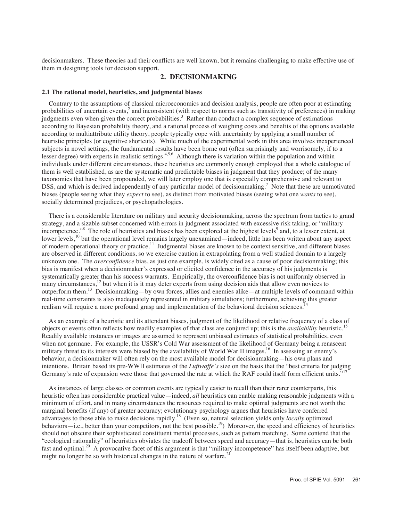decisionmakers. These theories and their conflicts are well known, but it remains challenging to make effective use of them in designing tools for decision support.

#### **2. DECISIONMAKING**

#### **2.1 The rational model, heuristics, and judgmental biases**

Contrary to the assumptions of classical microeconomics and decision analysis, people are often poor at estimating probabilities of uncertain events,<sup>2</sup> and inconsistent (with respect to norms such as transitivity of preferences) in making judgments even when given the correct probabilities.<sup>3</sup> Rather than conduct a complex sequence of estimations according to Bayesian probability theory, and a rational process of weighing costs and benefits of the options available according to multiattribute utility theory, people typically cope with uncertainty by applying a small number of heuristic principles (or cognitive shortcuts). While much of the experimental work in this area involves inexperienced subjects in novel settings, the fundamental results have been borne out (often surprisingly and worrisomely, if to a lesser degree) with experts in realistic settings.<sup>4,5,6</sup> Although there is variation within the population and within individuals under different circumstances, these heuristics are commonly enough employed that a whole catalogue of them is well established, as are the systematic and predictable biases in judgment that they produce; of the many taxonomies that have been propounded, we will later employ one that is especially comprehensive and relevant to DSS, and which is derived independently of any particular model of decisionmaking.<sup>7</sup> Note that these are unmotivated biases (people seeing what they *expect* to see), as distinct from motivated biases (seeing what one *wants* to see), socially determined prejudices, or psychopathologies.

There is a considerable literature on military and security decisionmaking, across the spectrum from tactics to grand strategy, and a sizable subset concerned with errors in judgment associated with excessive risk taking, or "military incompetence."<sup>8</sup> The role of heuristics and biases has been explored at the highest levels<sup>9</sup> and, to a lesser extent, at lower levels,<sup>10</sup> but the operational level remains largely unexamined—indeed, little has been written about any aspect of modern operational theory or practice.<sup>11</sup> Judgmental biases are known to be context sensitive, and different biases are observed in different conditions, so we exercise caution in extrapolating from a well studied domain to a largely unknown one. The *overconfidence* bias, as just one example, is widely cited as a cause of poor decisionmaking; this bias is manifest when a decisionmaker's expressed or elicited confidence in the accuracy of his judgments is systematically greater than his success warrants. Empirically, the overconfidence bias is not uniformly observed in many circumstances,<sup>12</sup> but when it is it may deter experts from using decision aids that allow even novices to outperform them.13 Decisionmaking—by own forces, allies and enemies alike—at multiple levels of command within real-time constraints is also inadequately represented in military simulations; furthermore, achieving this greater realism will require a more profound grasp and implementation of the behavioral decision sciences.

As an example of a heuristic and its attendant biases, judgment of the likelihood or relative frequency of a class of objects or events often reflects how readily examples of that class are conjured up; this is the *availability* heuristic.<sup>15</sup> Readily available instances or images are assumed to represent unbiased estimates of statistical probabilities, even when not germane. For example, the USSR's Cold War assessment of the likelihood of Germany being a renascent military threat to its interests were biased by the availability of World War II images.<sup>16</sup> In assessing an enemy's behavior, a decisionmaker will often rely on the most available model for decisionmaking—his own plans and intentions. Britain based its pre-WWII estimates of the *Luftwaffe's* size on the basis that the "best criteria for judging Germany's rate of expansion were those that governed the rate at which the RAF could itself form efficient units."

As instances of large classes or common events are typically easier to recall than their rarer counterparts, this heuristic often has considerable practical value—indeed, *all* heuristics can enable making reasonable judgments with a minimum of effort, and in many circumstances the resources required to make optimal judgments are not worth the marginal benefits (if any) of greater accuracy; evolutionary psychology argues that heuristics have conferred advantages to those able to make decisions rapidly.18 (Even so, natural selection yields only *locally* optimized behaviors—i.e., better than your competitors, not the best possible.<sup>19</sup>) Moreover, the speed and efficiency of heuristics should not obscure their sophisticated constituent mental processes, such as pattern matching. Some contend that the "ecological rationality" of heuristics obviates the tradeoff between speed and accuracy—that is, heuristics can be both fast and optimal.20 A provocative facet of this argument is that "military incompetence" has itself been adaptive, but might no longer be so with historical changes in the nature of warfare.<sup>21</sup>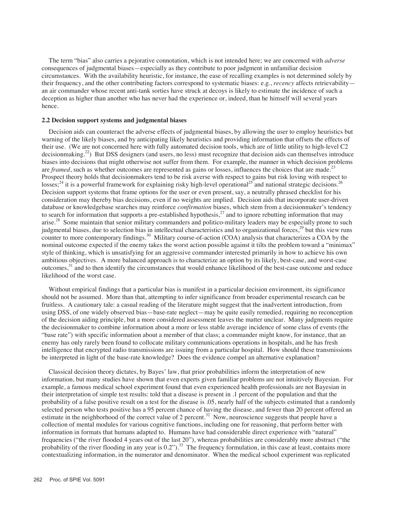The term "bias" also carries a pejorative connotation, which is not intended here; we are concerned with *adverse* consequences of judgmental biases—especially as they contribute to poor judgment in unfamiliar decision circumstances. With the availability heuristic, for instance, the ease of recalling examples is not determined solely by their frequency, and the other contributing factors correspond to systematic biases: e.g., *recency* affects retrievability an air commander whose recent anti-tank sorties have struck at decoys is likely to estimate the incidence of such a deception as higher than another who has never had the experience or, indeed, than he himself will several years hence.

#### **2.2 Decision support systems and judgmental biases**

Decision aids can counteract the adverse effects of judgmental biases, by allowing the user to employ heuristics but warning of the likely biases, and by anticipating likely heuristics and providing information that offsets the effects of their use. (We are not concerned here with fully automated decision tools, which are of little utility to high-level C2 decisionmaking.<sup>22</sup>) But DSS designers (and users, no less) must recognize that decision aids can themselves introduce biases into decisions that might otherwise not suffer from them. For example, the manner in which decision problems are *framed*, such as whether outcomes are represented as gains or losses, influences the choices that are made.<sup>23</sup> Prospect theory holds that decisionmakers tend to be risk averse with respect to gains but risk loving with respect to losses;<sup>24</sup> it is a powerful framework for explaining risky high-level operational<sup>25</sup> and national strategic decisions.<sup>26</sup> Decision support systems that frame options for the user or even present, say, a neutrally phrased checklist for his consideration may thereby bias decisions, even if no weights are implied. Decision aids that incorporate user-driven database or knowledgebase searches may reinforce *confirmation* biases, which stem from a decisionmaker's tendency to search for information that supports a pre-established hypothesis,<sup>27</sup> and to ignore rebutting information that may arise.<sup>28</sup> Some maintain that senior military commanders and politico-military leaders may be especially prone to such judgmental biases, due to selection bias in intellectual characteristics and to organizational forces, $2^9$  but this view runs counter to more contemporary findings.<sup>30</sup> Military course-of-action (COA) analysis that characterizes a COA by the nominal outcome expected if the enemy takes the worst action possible against it tilts the problem toward a "minimax" style of thinking, which is unsatisfying for an aggressive commander interested primarily in how to achieve his own ambitious objectives. A more balanced approach is to characterize an option by its likely, best-case, and worst-case outcomes,<sup>31</sup> and to then identify the circumstances that would enhance likelihood of the best-case outcome and reduce likelihood of the worst case.

Without empirical findings that a particular bias is manifest in a particular decision environment, its significance should not be assumed. More than that, attempting to infer significance from broader experimental research can be fruitless. A cautionary tale: a casual reading of the literature might suggest that the inadvertent introduction, from using DSS, of one widely observed bias—base-rate neglect—may be quite easily remedied, requiring no reconception of the decision aiding principle, but a more considered assessment leaves the matter unclear. Many judgments require the decisionmaker to combine information about a more or less stable average incidence of some class of events (the "base rate") with specific information about a member of that class; a commander might know, for instance, that an enemy has only rarely been found to collocate military communications operations in hospitals, and he has fresh intelligence that encrypted radio transmissions are issuing from a particular hospital. How should these transmissions be interpreted in light of the base-rate knowledge? Does the evidence compel an alternative explanation?

Classical decision theory dictates, by Bayes' law, that prior probabilities inform the interpretation of new information, but many studies have shown that even experts given familiar problems are not intuitively Bayesian. For example, a famous medical school experiment found that even experienced health professionals are not Bayesian in their interpretation of simple test results: told that a disease is present in .1 percent of the population and that the probability of a false positive result on a test for the disease is .05, nearly half of the subjects estimated that a randomly selected person who tests positive has a 95 percent chance of having the disease, and fewer than 20 percent offered an estimate in the neighborhood of the correct value of 2 percent.<sup>32</sup> Now, neuroscience suggests that people have a collection of mental modules for various cognitive functions, including one for reasoning, that perform better with information in formats that humans adapted to. Humans have had considerable direct experience with "natural" frequencies ("the river flooded 4 years out of the last 20"), whereas probabilities are considerably more abstract ("the probability of the river flooding in any year is  $0.2$ ").<sup>33</sup> The frequency formulation, in this case at least, contains more contextualizing information, in the numerator and denominator. When the medical school experiment was replicated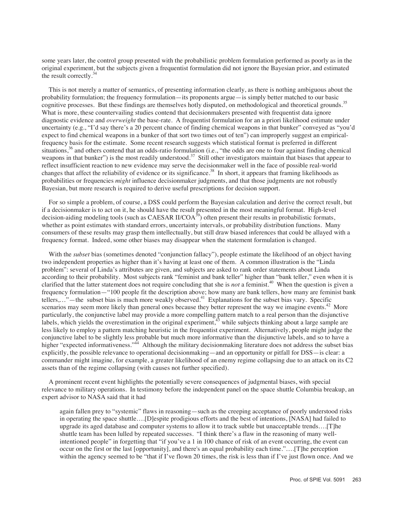some years later, the control group presented with the probabilistic problem formulation performed as poorly as in the original experiment, but the subjects given a frequentist formulation did not ignore the Bayesian prior, and estimated the result correctly.<sup>34</sup>

This is not merely a matter of semantics, of presenting information clearly, as there is nothing ambiguous about the probability formulation; the frequency formulation—its proponents argue—is simply better matched to our basic cognitive processes. But these findings are themselves hotly disputed, on methodological and theoretical grounds.<sup>35</sup> What is more, these countervailing studies contend that decisionmakers presented with frequentist data ignore diagnostic evidence and *overweight* the base-rate. A frequentist formulation for an a priori likelihood estimate under uncertainty (e.g., "I'd say there's a 20 percent chance of finding chemical weapons in that bunker" conveyed as "you'd expect to find chemical weapons in a bunker of that sort two times out of ten") can improperly suggest an empiricalfrequency basis for the estimate. Some recent research suggests which statistical format is preferred in different situations, $36$  and others contend that an odds-ratio formulation (i.e., "the odds are one to four against finding chemical weapons in that bunker") is the most readily understood.<sup>37</sup> Still other investigators maintain that biases that appear to reflect insufficient reaction to new evidence may serve the decisionmaker well in the face of possible real-world changes that affect the reliability of evidence or its significance.<sup>38</sup> In short, it appears that framing likelihoods as probabilities or frequencies *might* influence decisionmaker judgments, and that those judgments are not robustly Bayesian, but more research is required to derive useful prescriptions for decision support.

For so simple a problem, of course, a DSS could perform the Bayesian calculation and derive the correct result, but if a decisionmaker is to act on it, he should have the result presented in the most meaningful format. High-level decision-aiding modeling tools (such as CAESAR II/COA $^{39}$ ) often present their results in probabilistic formats, whether as point estimates with standard errors, uncertainty intervals, or probability distribution functions. Many consumers of these results may grasp them intellectually, but still draw biased inferences that could be allayed with a frequency format. Indeed, some other biases may disappear when the statement formulation is changed.

With the *subset* bias (sometimes denoted "conjunction fallacy"), people estimate the likelihood of an object having two independent properties as higher than it's having at least one of them. A common illustration is the "Linda problem": several of Linda's attributes are given, and subjects are asked to rank order statements about Linda according to their probability. Most subjects rank "feminist and bank teller" higher than "bank teller," even when it is clarified that the latter statement does not require concluding that she is *not* a feminist.40 When the question is given a frequency formulation—"100 people fit the description above; how many are bank tellers, how many are feminist bank tellers,..."—the subset bias is much more weakly observed.<sup>41</sup> Explanations for the subset bias vary. Specific scenarios may seem more likely than general ones because they better represent the way we imagine events.<sup>42</sup> More particularly, the conjunctive label may provide a more compelling pattern match to a real person than the disjunctive labels, which yields the overestimation in the original experiment,<sup>43</sup> while subjects thinking about a large sample are less likely to employ a pattern matching heuristic in the frequentist experiment. Alternatively, people might judge the conjunctive label to be slightly less probable but much more informative than the disjunctive labels, and so to have a higher "expected informativeness."<sup>44</sup> Although the military decisionmaking literature does not address the subset bias explicitly, the possible relevance to operational decisionmaking—and an opportunity or pitfall for DSS—is clear: a commander might imagine, for example, a greater likelihood of an enemy regime collapsing due to an attack on its C2 assets than of the regime collapsing (with causes not further specified).

A prominent recent event highlights the potentially severe consequences of judgmental biases, with special relevance to military operations. In testimony before the independent panel on the space shuttle Columbia breakup, an expert advisor to NASA said that it had

again fallen prey to "systemic" flaws in reasoning—such as the creeping acceptance of poorly understood risks in operating the space shuttle….[D]espite prodigious efforts and the best of intentions, [NASA] had failed to upgrade its aged database and computer systems to allow it to track subtle but unacceptable trends....[T]he shuttle team has been lulled by repeated successes. "I think there's a flaw in the reasoning of many wellintentioned people" in forgetting that "if you've a 1 in 100 chance of risk of an event occurring, the event can occur on the first or the last [opportunity], and there's an equal probability each time."….[T]he perception within the agency seemed to be "that if I've flown 20 times, the risk is less than if I've just flown once. And we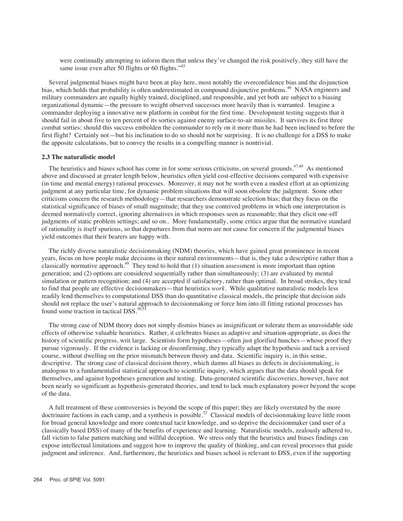were continually attempting to inform them that unless they've changed the risk positively, they still have the same issue even after 50 flights or 60 flights." $45$ 

Several judgmental biases might have been at play here, most notably the overconfidence bias and the disjunction bias, which holds that probability is often underestimated in compound disjunctive problems.<sup>46</sup> NASA engineers and military commanders are equally highly trained, disciplined, and responsible, and yet both are subject to a biasing organizational dynamic—the pressure to weight observed successes more heavily than is warranted. Imagine a commander deploying a innovative new platform in combat for the first time. Development testing suggests that it should fail in about five to ten percent of its sorties against enemy surface-to-air missiles. It survives its first three combat sorties; should this success embolden the commander to rely on it more than he had been inclined to before the first flight? Certainly not—but his inclination to do so should not be surprising. It is no challenge for a DSS to make the apposite calculations, but to convey the results in a compelling manner is nontrivial.

#### **2.3 The naturalistic model**

The heuristics and biases school has come in for some serious criticisms, on several grounds.<sup>47,48</sup> As mentioned above and discussed at greater length below, heuristics often yield cost-effective decisions compared with expensive (in time and mental energy) rational processes. Moreover, it may not be worth even a modest effort at an optimizing judgment at any particular time, for dynamic problem situations that will soon obsolete the judgment. Some other criticisms concern the research methodology—that researchers demonstrate selection bias; that they focus on the statistical significance of biases of small magnitude; that they use contrived problems in which one interpretation is deemed normatively correct, ignoring alternatives in which responses seen as reasonable; that they elicit one-off judgments of static problem settings; and so on.. More fundamentally, some critics argue that the normative standard of rationality is itself spurious, so that departures from that norm are not cause for concern if the judgmental biases yield outcomes that their bearers are happy with.

The richly diverse naturalistic decisionmaking (NDM) theories, which have gained great prominence in recent years, focus on how people make decisions in their natural environments—that is, they take a descriptive rather than a classically normative approach.<sup>49</sup> They tend to hold that  $(1)$  situation assessment is more important than option generation; and (2) options are considered sequentially rather than simultaneously; (3) are evaluated by mental simulation or pattern recognition; and (4) are accepted if satisfactory, rather than optimal. In broad strokes, they tend to find that people are effective decisionmakers—that heuristics *work*. While qualitative naturalistic models less readily lend themselves to computational DSS than do quantitative classical models, the principle that decision aids should not replace the user's natural approach to decisionmaking or force him into ill fitting rational processes has found some traction in tactical DSS. $50,51$ 

The strong case of NDM theory does not simply dismiss biases as insignificant or tolerate them as unavoidable side effects of otherwise valuable heuristics. Rather, it celebrates biases as adaptive and situation-appropriate, as does the history of scientific progress, writ large. Scientists form hypotheses—often just glorified hunches—whose proof they pursue vigorously. If the evidence is lacking or disconfirming, they typically adapt the hypothesis and tack a revised course, without dwelling on the prior mismatch between theory and data. Scientific inquiry is, in this sense, descriptive. The strong case of classical decision theory, which damns all biases as defects in decisionmaking, is analogous to a fundamentalist statistical approach to scientific inquiry, which argues that the data should speak for themselves, and against hypotheses generation and testing. Data-generated scientific discoveries, however, have not been nearly so significant as hypothesis-generated theories, and tend to lack much explanatory power beyond the scope of the data.

A full treatment of these controversies is beyond the scope of this paper; they are likely overstated by the more doctrinaire factions in each camp, and a synthesis is possible.<sup>52</sup> Classical models of decisionmaking leave little room for broad general knowledge and more contextual tacit knowledge, and so deprive the decisionmaker (and user of a classically based DSS) of many of the benefits of experience and learning. Naturalistic models, zealously adhered to, fall victim to false pattern matching and willful deception. We stress only that the heuristics and biases findings can expose intellectual limitations and suggest how to improve the quality of thinking, and can reveal processes that guide judgment and inference. And, furthermore, the heuristics and biases school is relevant to DSS, even if the supporting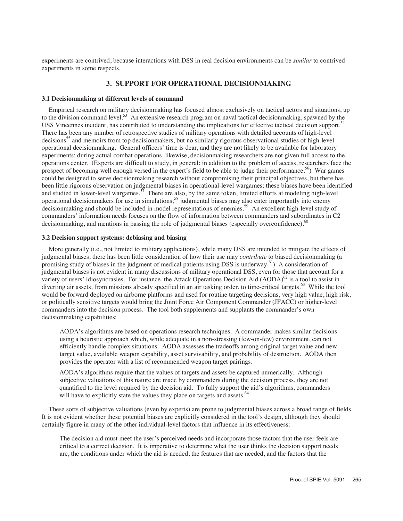experiments are contrived, because interactions with DSS in real decision environments can be *similar* to contrived experiments in some respects.

#### **3. SUPPORT FOR OPERATIONAL DECISIONMAKING**

#### **3.1 Decisionmaking at different levels of command**

Empirical research on military decisionmaking has focused almost exclusively on tactical actors and situations, up to the division command level.<sup>53</sup> An extensive research program on naval tactical decisionmaking, spawned by the USS Vincennes incident, has contributed to understanding the implications for effective tactical decision support.<sup>5</sup> There has been any number of retrospective studies of military operations with detailed accounts of high-level decisions<sup>55</sup> and memoirs from top decisionmakers, but no similarly rigorous observational studies of high-level operational decisionmaking. General officers' time is dear, and they are not likely to be available for laboratory experiments; during actual combat operations, likewise, decisionmaking researchers are not given full access to the operations center. (Experts are difficult to study, in general: in addition to the problem of access, researchers face the prospect of becoming well enough versed in the expert's field to be able to judge their performance.<sup>56</sup>) War games could be designed to serve decisionmaking research without compromising their principal objectives, but there has been little rigorous observation on judgmental biases in operational-level wargames; these biases have been identified and studied in lower-level wargames.<sup>57</sup> There are also, by the same token, limited efforts at modeling high-level operational decisionmakers for use in simulations;<sup>58</sup> judgmental biases may also enter importantly into enemy decisionmaking and should be included in model representations of enemies.<sup>59</sup> An excellent high-level study of commanders' information needs focuses on the flow of information between commanders and subordinates in C2 decisionmaking, and mentions in passing the role of judgmental biases (especially overconfidence).<sup>60</sup>

#### **3.2 Decision support systems: debiasing and biasing**

More generally (i.e., not limited to military applications), while many DSS are intended to mitigate the effects of judgmental biases, there has been little consideration of how their use may *contribute* to biased decisionmaking (a promising study of biases in the judgment of medical patients using DSS is underway.<sup>61</sup>) A consideration of judgmental biases is not evident in many discussions of military operational DSS, even for those that account for a variety of users' idiosyncrasies. For instance, the Attack Operations Decision Aid  $(AODA)^{62}$  is a tool to assist in diverting air assets, from missions already specified in an air tasking order, to time-critical targets.<sup>63</sup> While the tool would be forward deployed on airborne platforms and used for routine targeting decisions, very high value, high risk, or politically sensitive targets would bring the Joint Force Air Component Commander (JFACC) or higher-level commanders into the decision process. The tool both supplements and supplants the commander's own decisionmaking capabilities:

AODA's algorithms are based on operations research techniques. A commander makes similar decisions using a heuristic approach which, while adequate in a non-stressing (few-on-few) environment, can not efficiently handle complex situations. AODA assesses the tradeoffs among original target value and new target value, available weapon capability, asset survivability, and probability of destruction. AODA then provides the operator with a list of recommended weapon target pairings.

AODA's algorithms require that the values of targets and assets be captured numerically. Although subjective valuations of this nature are made by commanders during the decision process, they are not quantified to the level required by the decision aid. To fully support the aid's algorithms, commanders will have to explicitly state the values they place on targets and assets.<sup>64</sup>

These sorts of subjective valuations (even by experts) are prone to judgmental biases across a broad range of fields. It is not evident whether these potential biases are explicitly considered in the tool's design, although they should certainly figure in many of the other individual-level factors that influence in its effectiveness:

The decision aid must meet the user's perceived needs and incorporate those factors that the user feels are critical to a correct decision. It is imperative to determine what the user thinks the decision support needs are, the conditions under which the aid is needed, the features that are needed, and the factors that the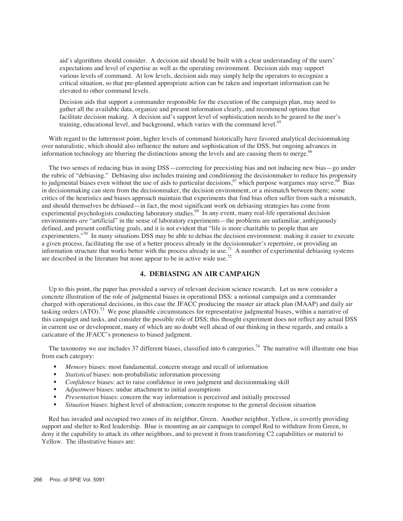aid's algorithms should consider. A decision aid should be built with a clear understanding of the users' expectations and level of expertise as well as the operating environment. Decision aids may support various levels of command. At low levels, decision aids may simply help the operators to recognize a critical situation, so that pre-planned appropriate action can be taken and important information can be elevated to other command levels.

Decision aids that support a commander responsible for the execution of the campaign plan, may need to gather all the available data, organize and present information clearly, and recommend options that facilitate decision making. A decision aid's support level of sophistication needs to be geared to the user's training, educational level, and background, which varies with the command level.<sup>65</sup>

With regard to the lattermost point, higher levels of command historically have favored analytical decisionmaking over naturalistic, which should also influence the nature and sophistication of the DSS, but ongoing advances in information technology are blurring the distinctions among the levels and are causing them to merge.<sup>66</sup>

The two senses of reducing bias in using DSS—correcting for preexisting bias and not inducing new bias—go under the rubric of "debiasing." Debiasing also includes training and conditioning the decisionmaker to reduce his propensity to judgmental biases even without the use of aids to particular decisions,  $67$  which purpose wargames may serve. $68$  Bias in decisionmaking can stem from the decisionmaker, the decision environment, or a mismatch between them; some critics of the heuristics and biases approach maintain that experiments that find bias often suffer from such a mismatch, and should themselves be debiased—in fact, the most significant work on debiasing strategies has come from experimental psychologists conducting laboratory studies.<sup>69</sup> In any event, many real-life operational decision environments *are* "artificial" in the sense of laboratory experiments—the problems are unfamiliar, ambiguously defined, and present conflicting goals, and it is not evident that "life is more charitable to people than are experimenters."<sup>70</sup> In many situations DSS may be able to debias the decision environment: making it easier to execute a given process, facilitating the use of a better process already in the decisionmaker's repertoire, or providing an information structure that works better with the process already in use.<sup>71</sup> A number of experimental debiasing systems are described in the literature but none appear to be in active wide use.<sup>72</sup>

#### **4. DEBIASING AN AIR CAMPAIGN**

Up to this point, the paper has provided a survey of relevant decision science research. Let us now consider a concrete illustration of the role of judgmental biases in operational DSS: a notional campaign and a commander charged with operational decisions, in this case the JFACC producing the master air attack plan (MAAP) and daily air tasking orders  $(ATO)$ .<sup>73</sup> We pose plausible circumstances for representative judgmental biases, within a narrative of this campaign and tasks, and consider the possible role of DSS; this thought experiment does not reflect any actual DSS in current use or development, many of which are no doubt well ahead of our thinking in these regards, and entails a caricature of the JFACC's proneness to biased judgment.

The taxonomy we use includes 37 different biases, classified into 6 categories.<sup>74</sup> The narrative will illustrate one bias from each category:

- *Memory* biases: most fundamental, concern storage and recall of information
- *Statistical* biases: non-probabilistic information processing
- **Confidence biases:** act to raise confidence in own judgment and decisionmaking skill
- *Adjustment* biases: undue attachment to initial assumptions
- **Presentation** biases: concern the way information is perceived and initially processed
- *Situation* biases: highest level of abstraction; concern response to the general decision situation

Red has invaded and occupied two zones of its neighbor, Green. Another neighbor, Yellow, is covertly providing support and shelter to Red leadership. Blue is mounting an air campaign to compel Red to withdraw from Green, to deny it the capability to attack its other neighbors, and to prevent it from transferring C2 capabilities or materiel to Yellow. The illustrative biases are: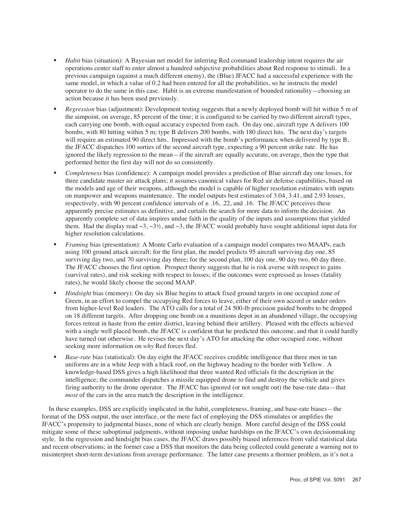- *Habit* bias (situation): A Bayesian net model for inferring Red command leadership intent requires the air operations center staff to enter almost a hundred subjective probabilities about Red response to stimuli. In a previous campaign (against a much different enemy), the (Blue) JFACC had a successful experience with the same model, in which a value of 0.2 had been entered for all the probabilities, so he instructs the model operator to do the same in this case. Habit is an extreme manifestation of bounded rationality—choosing an action because it has been used previously.
- *Regression* bias (adjustment): Development testing suggests that a newly deployed bomb will hit within 5 m of the aimpoint, on average, 85 percent of the time; it is configured to be carried by two different aircraft types, each carrying one bomb, with equal accuracy expected from each. On day one, aircraft type A delivers 100 bombs, with 80 hitting within 5 m; type B delivers 200 bombs, with 180 direct hits. The next day's targets will require an estimated 90 direct hits. Impressed with the bomb's performance when delivered by type B, the JFACC dispatches 100 sorties of the second aircraft type, expecting a 90 percent strike rate. He has ignored the likely regression to the mean—if the aircraft are equally accurate, on average, then the type that performed better the first day will not do so consistently.
- *Completeness* bias (confidence): A campaign model provides a prediction of Blue aircraft day one losses, for three candidate master air attack plans; it assumes canonical values for Red air defense capabilities, based on the models and age of their weapons, although the model is capable of higher resolution estimates with inputs on manpower and weapons maintenance. The model outputs best estimates of 3.04, 3.41, and 2.93 losses, respectively, with 90 percent confidence intervals of  $\pm$  .16, .22, and .16. The JFACC perceives these apparently precise estimates as definitive, and curtails the search for more data to inform the decision. An apparently complete set of data inspires undue faith in the quality of the inputs and assumptions that yielded them. Had the display read  $\sim$ 3,  $\sim$ 3½, and  $\sim$ 3, the JFACC would probably have sought additional input data for higher resolution calculations.
- *Framing* bias (presentation): A Monte Carlo evaluation of a campaign model compares two MAAPs, each using 100 ground attack aircraft; for the first plan, the model predicts 95 aircraft surviving day one, 85 surviving day two, and 70 surviving day three; for the second plan, 100 day one, 90 day two, 60 day three. The JFACC chooses the first option. Prospect theory suggests that he is risk averse with respect to gains (survival rates), and risk seeking with respect to losses; if the outcomes were expressed as losses (fatality rates), he would likely choose the second MAAP.
- *Hindsight* bias (memory): On day six Blue begins to attack fixed ground targets in one occupied zone of Green, in an effort to compel the occupying Red forces to leave, either of their own accord or under orders from higher-level Red leaders. The ATO calls for a total of 24 500-lb precision guided bombs to be dropped on 18 different targets. After dropping one bomb on a munitions depot in an abandoned village, the occupying forces retreat in haste from the entire district, leaving behind their artillery. Pleased with the effects achieved with a single well placed bomb, the JFACC is confident that he predicted this outcome, and that it could hardly have turned out otherwise. He revises the next day's ATO for attacking the other occupied zone, without seeking more information on *why* Red forces fled.
- *Base-rate* bias (statistical): On day eight the JFACC receives credible intelligence that three men in tan uniforms are in a white Jeep with a black roof, on the highway heading to the border with Yellow. A knowledge-based DSS gives a high likelihood that three wanted Red officials fit the description in the intelligence; the commander dispatches a missile equipped drone to find and destroy the vehicle and gives firing authority to the drone operator. The JFACC has ignored (or not sought out) the base-rate data—that *most* of the cars in the area match the description in the intelligence.

In these examples, DSS are explicitly implicated in the habit, completeness, framing, and base-rate biases—the format of the DSS output, the user interface, or the mere fact of employing the DSS stimulates or amplifies the JFACC's propensity to judgmental biases, none of which are clearly benign. More careful design of the DSS could mitigate some of these suboptimal judgments, without imposing undue hardships on the JFACC's own decisionmaking style. In the regression and hindsight bias cases, the JFACC draws possibly biased inferences from valid statistical data and recent observations; in the former case a DSS that monitors the data being collected could generate a warning not to misinterpret short-term deviations from average performance. The latter case presents a thornier problem, as it's not a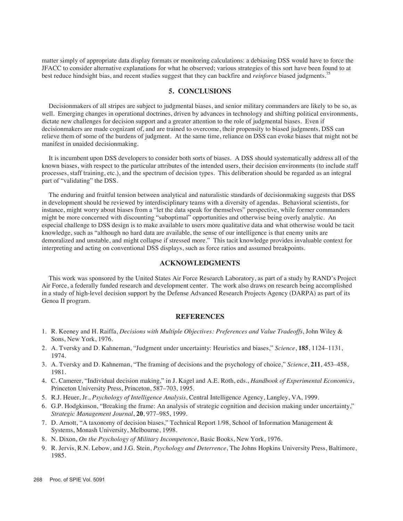matter simply of appropriate data display formats or monitoring calculations: a debiasing DSS would have to force the JFACC to consider alternative explanations for what he observed; various strategies of this sort have been found to at best reduce hindsight bias, and recent studies suggest that they can backfire and *reinforce* biased judgments.<sup>75</sup>

#### **5. CONCLUSIONS**

Decisionmakers of all stripes are subject to judgmental biases, and senior military commanders are likely to be so, as well. Emerging changes in operational doctrines, driven by advances in technology and shifting political environments, dictate new challenges for decision support and a greater attention to the role of judgmental biases. Even if decisionmakers are made cognizant of, and are trained to overcome, their propensity to biased judgments, DSS can relieve them of some of the burdens of judgment. At the same time, reliance on DSS can evoke biases that might not be manifest in unaided decisionmaking.

It is incumbent upon DSS developers to consider both sorts of biases. A DSS should systematically address all of the known biases, with respect to the particular attributes of the intended users, their decision environments (to include staff processes, staff training, etc.), and the spectrum of decision types. This deliberation should be regarded as an integral part of "validating" the DSS.

The enduring and fruitful tension between analytical and naturalistic standards of decisionmaking suggests that DSS in development should be reviewed by interdisciplinary teams with a diversity of agendas. Behavioral scientists, for instance, might worry about biases from a "let the data speak for themselves" perspective, while former commanders might be more concerned with discounting "suboptimal" opportunities and otherwise being overly analytic. An especial challenge to DSS design is to make available to users more qualitative data and what otherwise would be tacit knowledge, such as "although no hard data are available, the sense of our intelligence is that enemy units are demoralized and unstable, and might collapse if stressed more." This tacit knowledge provides invaluable context for interpreting and acting on conventional DSS displays, such as force ratios and assumed breakpoints.

#### **ACKNOWLEDGMENTS**

This work was sponsored by the United States Air Force Research Laboratory, as part of a study by RAND's Project Air Force, a federally funded research and development center. The work also draws on research being accomplished in a study of high-level decision support by the Defense Advanced Research Projects Agency (DARPA) as part of its Genoa II program.

#### **REFERENCES**

- 1. R. Keeney and H. Raiffa, *Decisions with Multiple Objectives: Preferences and Value Tradeoffs*, John Wiley & Sons, New York, 1976.
- 2. A. Tversky and D. Kahneman, "Judgment under uncertainty: Heuristics and biases," *Science*, **185**, 1124–1131, 1974.
- 3. A. Tversky and D. Kahneman, "The framing of decisions and the psychology of choice," *Science*, **211**, 453–458, 1981.
- 4. C. Camerer, "Individual decision making," in J. Kagel and A.E. Roth, eds., *Handbook of Experimental Economics*, Princeton University Press, Princeton, 587–703, 1995.
- 5. R.J. Heuer, Jr., *Psychology of Intelligence Analysis*, Central Intelligence Agency, Langley, VA, 1999.
- 6. G.P. Hodgkinson, "Breaking the frame: An analysis of strategic cognition and decision making under uncertainty," *Strategic Management Journal*, **20**, 977–985, 1999.
- 7. D. Arnott, "A taxonomy of decision biases," Technical Report 1/98, School of Information Management & Systems, Monash University, Melbourne, 1998.
- 8. N. Dixon, *On the Psychology of Military Incompetence*, Basic Books, New York, 1976.
- 9. R. Jervis, R.N. Lebow, and J.G. Stein, *Psychology and Deterrence*, The Johns Hopkins University Press, Baltimore, 1985.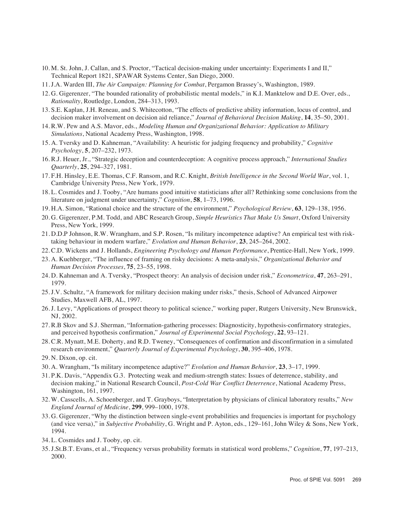- 10. M. St. John, J. Callan, and S. Proctor, "Tactical decision-making under uncertainty: Experiments I and II," Technical Report 1821, SPAWAR Systems Center, San Diego, 2000.
- 11. J.A. Warden III, *The Air Campaign: Planning for Combat*, Pergamon Brassey's, Washington, 1989.
- 12. G. Gigerenzer, "The bounded rationality of probabilistic mental models," in K.I. Manktelow and D.E. Over, eds., *Rationality*, Routledge, London, 284–313, 1993.
- 13. S.E. Kaplan, J.H. Reneau, and S. Whitecotton, "The effects of predictive ability information, locus of control, and decision maker involvement on decision aid reliance," *Journal of Behavioral Decision Making*, **14**, 35–50, 2001.
- 14. R.W. Pew and A.S. Mavor, eds., *Modeling Human and Organizational Behavior: Application to Military Simulations*, National Academy Press, Washington, 1998.
- 15. A. Tversky and D. Kahneman, "Availability: A heuristic for judging frequency and probability," *Cognitive Psychology*, **5**, 207–232, 1973.
- 16. R.J. Heuer, Jr., "Strategic deception and counterdeception: A cognitive process approach," *International Studies Quarterly*, **25**, 294–327, 1981.
- 17. F.H. Hinsley, E.E. Thomas, C.F. Ransom, and R.C. Knight, *British Intelligence in the Second World War*, vol. 1, Cambridge University Press, New York, 1979.
- 18. L. Cosmides and J. Tooby, "Are humans good intuitive statisticians after all? Rethinking some conclusions from the literature on judgment under uncertainty," *Cognition*, **58**, 1–73, 1996.
- 19. H.A. Simon, "Rational choice and the structure of the environment," *Psychological Review*, **63**, 129–138, 1956.
- 20. G. Gigerenzer, P.M. Todd, and ABC Research Group, *Simple Heuristics That Make Us Smart*, Oxford University Press, New York, 1999.
- 21. D.D.P Johnson, R.W. Wrangham, and S.P. Rosen, "Is military incompetence adaptive? An empirical test with risktaking behaviour in modern warfare," *Evolution and Human Behavior*, **23**, 245–264, 2002.
- 22. C.D. Wickens and J. Hollands, *Engineering Psychology and Human Performance*, Prentice-Hall, New York, 1999.
- 23. A. Kuehberger, "The influence of framing on risky decisions: A meta-analysis," *Organizational Behavior and Human Decision Processes*, **75**, 23–55, 1998.
- 24. D. Kahneman and A. Tversky, "Prospect theory: An analysis of decision under risk," *Econometrica*, **47**, 263–291, 1979.
- 25. J.V. Schultz, "A framework for military decision making under risks," thesis, School of Advanced Airpower Studies, Maxwell AFB, AL, 1997.
- 26. J. Levy, "Applications of prospect theory to political science," working paper, Rutgers University, New Brunswick, NJ, 2002.
- 27. R.B Skov and S.J. Sherman, "Information-gathering processes: Diagnosticity, hypothesis-confirmatory strategies, and perceived hypothesis confirmation," *Journal of Experimental Social Psychology*, **22**, 93–121.
- 28. C.R. Mynatt, M.E. Doherty, and R.D. Tweney, "Consequences of confirmation and disconfirmation in a simulated research environment," *Quarterly Journal of Experimental Psychology*, **30**, 395–406, 1978.
- 29. N. Dixon, op. cit.
- 30. A. Wrangham, "Is military incompetence adaptive?" *Evolution and Human Behavior*, **23**, 3–17, 1999.
- 31. P.K. Davis, "Appendix G.3. Protecting weak and medium-strength states: Issues of deterrence, stability, and decision making," in National Research Council, *Post-Cold War Conflict Deterrence*, National Academy Press, Washington, 161, 1997.
- 32. W. Casscells, A. Schoenberger, and T. Grayboys, "Interpretation by physicians of clinical laboratory results," *New England Journal of Medicine*, **299**, 999–1000, 1978.
- 33. G. Gigerenzer, "Why the distinction between single-event probabilities and frequencies is important for psychology (and vice versa)," in *Subjective Probability*, G. Wright and P. Ayton, eds., 129–161, John Wiley & Sons, New York, 1994.
- 34. L. Cosmides and J. Tooby, op. cit.
- 35. J.St.B.T. Evans, et al., "Frequency versus probability formats in statistical word problems," *Cognition*, **77**, 197–213, 2000.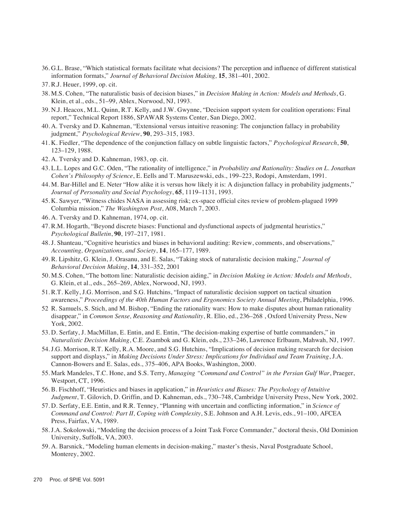- 36. G.L. Brase, "Which statistical formats facilitate what decisions? The perception and influence of different statistical information formats," *Journal of Behavioral Decision Making,* **15**, 381–401, 2002.
- 37. R.J. Heuer, 1999, op. cit.
- 38. M.S. Cohen, "The naturalistic basis of decision biases," in *Decision Making in Action: Models and Methods*, G. Klein, et al., eds., 51–99, Ablex, Norwood, NJ, 1993.
- 39. N.J. Heacox, M.L. Quinn, R.T. Kelly, and J.W. Gwynne, "Decision support system for coalition operations: Final report," Technical Report 1886, SPAWAR Systems Center, San Diego, 2002.
- 40. A. Tversky and D. Kahneman, "Extensional versus intuitive reasoning: The conjunction fallacy in probability judgment," *Psychological Review*, **90**, 293–315, 1983.
- 41. K. Fiedler, "The dependence of the conjunction fallacy on subtle linguistic factors," *Psychological Research*, **50**, 123–129, 1988.
- 42. A. Tversky and D. Kahneman, 1983, op. cit.
- 43. L.L. Lopes and G.C. Oden, "The rationality of intelligence," in *Probability and Rationality: Studies on L. Jonathan Cohen's Philosophy of Science*, E. Eells and T. Maruszewski, eds., 199–223, Rodopi, Amsterdam, 1991.
- 44. M. Bar-Hillel and E. Neter "How alike it is versus how likely it is: A disjunction fallacy in probability judgments," *Journal of Personality and Social Psychology*, **65**, 1119–1131, 1993.
- 45. K. Sawyer, "Witness chides NASA in assessing risk; ex-space official cites review of problem-plagued 1999 Columbia mission," *The Washington Post*, A08, March 7, 2003.
- 46. A. Tversky and D. Kahneman, 1974, op. cit.
- 47. R.M. Hogarth, "Beyond discrete biases: Functional and dysfunctional aspects of judgmental heuristics," *Psychological Bulletin*, **90**, 197–217, 1981.
- 48. J. Shanteau, "Cognitive heuristics and biases in behavioral auditing: Review, comments, and observations," *Accounting, Organizations, and Society*, **14**, 165–177, 1989.
- 49. R. Lipshitz, G. Klein, J. Orasanu, and E. Salas, "Taking stock of naturalistic decision making," *Journal of Behavioral Decision Making*, **14**, 331–352, 2001
- 50. M.S. Cohen, "The bottom line: Naturalistic decision aiding," in *Decision Making in Action: Models and Methods*, G. Klein, et al., eds., 265–269, Ablex, Norwood, NJ, 1993.
- 51. R.T. Kelly, J.G. Morrison, and S.G. Hutchins, "Impact of naturalistic decision support on tactical situation awareness," *Proceedings of the 40th Human Factors and Ergonomics Society Annual Meeting*, Philadelphia, 1996.
- 52 R. Samuels, S. Stich, and M. Bishop, "Ending the rationality wars: How to make disputes about human rationality disappear," in *Common Sense, Reasoning and Rationality*, R. Elio, ed., 236–268 , Oxford University Press, New York, 2002.
- 53. D. Serfaty, J. MacMillan, E. Entin, and E. Entin, "The decision-making expertise of battle commanders," in *Naturalistic Decision Making*, C.E. Zsambok and G. Klein, eds., 233–246, Lawrence Erlbaum, Mahwah, NJ, 1997.
- 54. J.G. Morrison, R.T. Kelly, R.A. Moore, and S.G. Hutchins, "Implications of decision making research for decision support and displays," in *Making Decisions Under Stress: Implications for Individual and Team Training*, J.A. Cannon-Bowers and E. Salas, eds., 375–406, APA Books, Washington, 2000.
- 55. Mark Mandeles, T.C. Hone, and S.S. Terry, *Managing "Command and Control" in the Persian Gulf War*, Praeger, Westport, CT, 1996.
- 56. B. Fischhoff, "Heuristics and biases in application," in *Heuristics and Biases: The Psychology of Intuitive Judgment*, T. Gilovich, D. Griffin, and D. Kahneman, eds., 730–748, Cambridge University Press, New York, 2002.
- 57. D. Serfaty, E.E. Entin, and R.R. Tenney, "Planning with uncertain and conflicting information," in *Science of Command and Control: Part II, Coping with Complexity*, S.E. Johnson and A.H. Levis, eds., 91–100, AFCEA Press, Fairfax, VA, 1989.
- 58. J.A. Sokolowski, "Modeling the decision process of a Joint Task Force Commander," doctoral thesis, Old Dominion University, Suffolk, VA, 2003.
- 59. A. Barsnick, "Modeling human elements in decision-making," master's thesis, Naval Postgraduate School, Monterey, 2002.